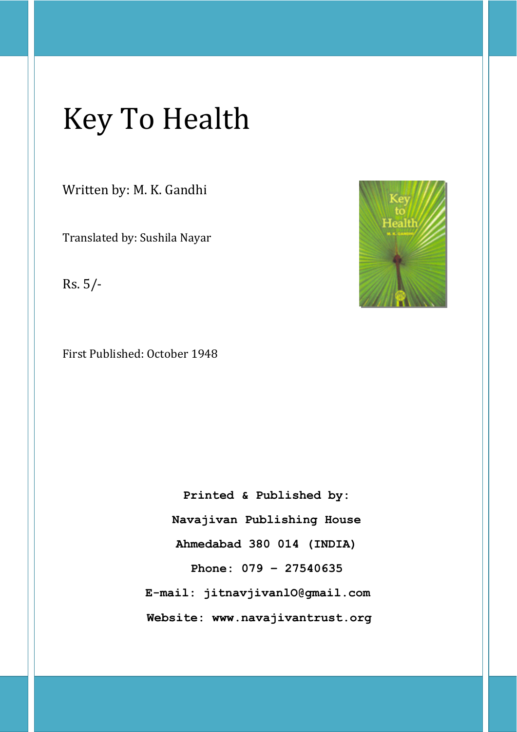Written by: M. K. Gandhi

Translated by: Sushila Nayar

Rs. 5/-

First Published: October 1948



**Printed & Published by: Navajivan Publishing House Ahmedabad 380 014 (INDIA) Phone: 079 – 27540635 E-mail: jitnavjivanlO@gmail.com Website: www.navajivantrust.org**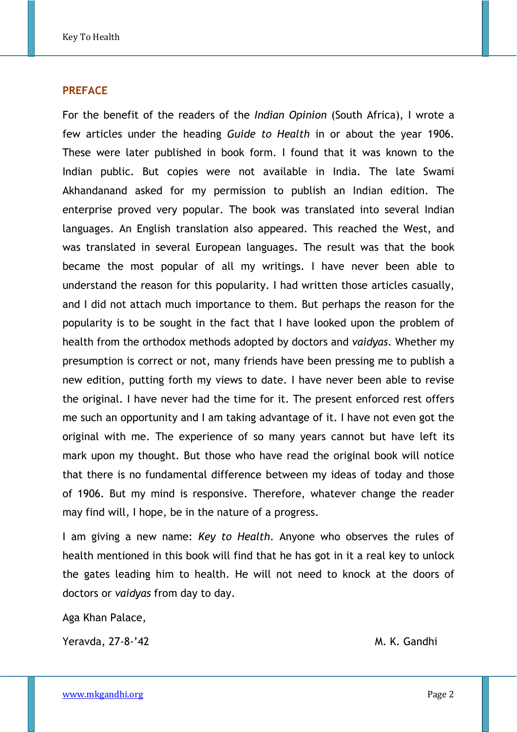#### **PREFACE**

For the benefit of the readers of the *Indian Opinion* (South Africa), I wrote a few articles under the heading *Guide to Health* in or about the year 1906. These were later published in book form. I found that it was known to the Indian public. But copies were not available in India. The late Swami Akhandanand asked for my permission to publish an Indian edition. The enterprise proved very popular. The book was translated into several Indian languages. An English translation also appeared. This reached the West, and was translated in several European languages. The result was that the book became the most popular of all my writings. I have never been able to understand the reason for this popularity. I had written those articles casually, and I did not attach much importance to them. But perhaps the reason for the popularity is to be sought in the fact that I have looked upon the problem of health from the orthodox methods adopted by doctors and *vaidyas*. Whether my presumption is correct or not, many friends have been pressing me to publish a new edition, putting forth my views to date. I have never been able to revise the original. I have never had the time for it. The present enforced rest offers me such an opportunity and I am taking advantage of it. I have not even got the original with me. The experience of so many years cannot but have left its mark upon my thought. But those who have read the original book will notice that there is no fundamental difference between my ideas of today and those of 1906. But my mind is responsive. Therefore, whatever change the reader may find will, I hope, be in the nature of a progress.

I am giving a new name: *Key to Health*. Anyone who observes the rules of health mentioned in this book will find that he has got in it a real key to unlock the gates leading him to health. He will not need to knock at the doors of doctors or *vaidyas* from day to day.

Aga Khan Palace,

Yeravda, 27-8-'42 M. K. Gandhi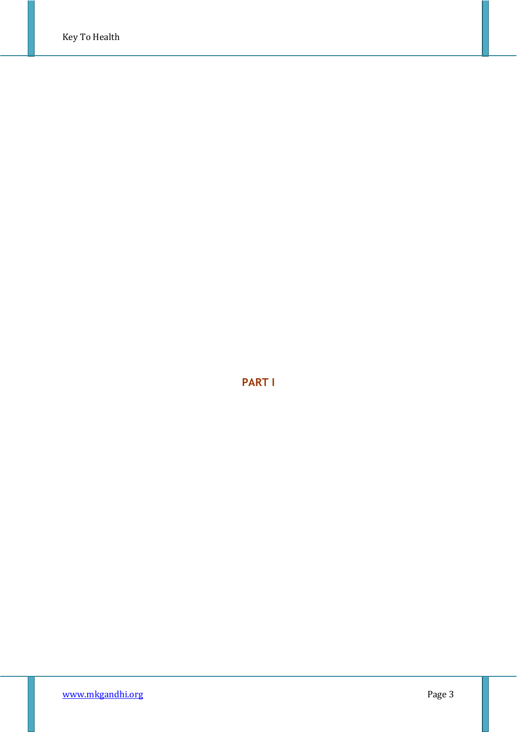**PART I**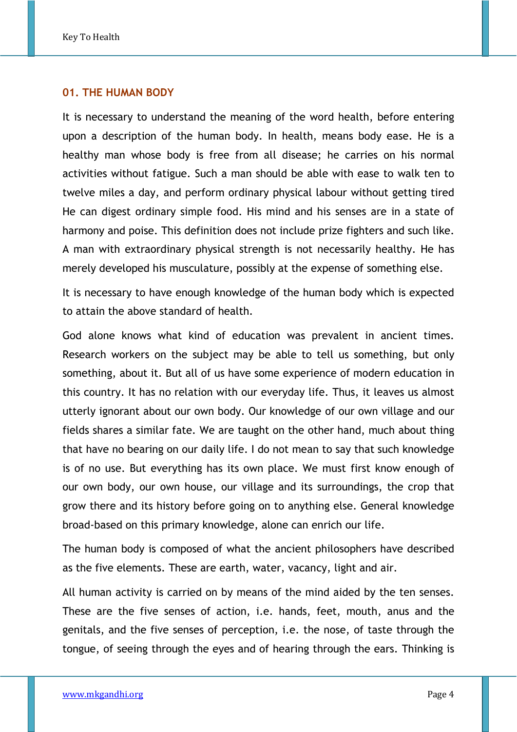## **01. THE HUMAN BODY**

It is necessary to understand the meaning of the word health, before entering upon a description of the human body. In health, means body ease. He is a healthy man whose body is free from all disease; he carries on his normal activities without fatigue. Such a man should be able with ease to walk ten to twelve miles a day, and perform ordinary physical labour without getting tired He can digest ordinary simple food. His mind and his senses are in a state of harmony and poise. This definition does not include prize fighters and such like. A man with extraordinary physical strength is not necessarily healthy. He has merely developed his musculature, possibly at the expense of something else.

It is necessary to have enough knowledge of the human body which is expected to attain the above standard of health.

God alone knows what kind of education was prevalent in ancient times. Research workers on the subject may be able to tell us something, but only something, about it. But all of us have some experience of modern education in this country. It has no relation with our everyday life. Thus, it leaves us almost utterly ignorant about our own body. Our knowledge of our own village and our fields shares a similar fate. We are taught on the other hand, much about thing that have no bearing on our daily life. I do not mean to say that such knowledge is of no use. But everything has its own place. We must first know enough of our own body, our own house, our village and its surroundings, the crop that grow there and its history before going on to anything else. General knowledge broad-based on this primary knowledge, alone can enrich our life.

The human body is composed of what the ancient philosophers have described as the five elements. These are earth, water, vacancy, light and air.

All human activity is carried on by means of the mind aided by the ten senses. These are the five senses of action, i.e. hands, feet, mouth, anus and the genitals, and the five senses of perception, i.e. the nose, of taste through the tongue, of seeing through the eyes and of hearing through the ears. Thinking is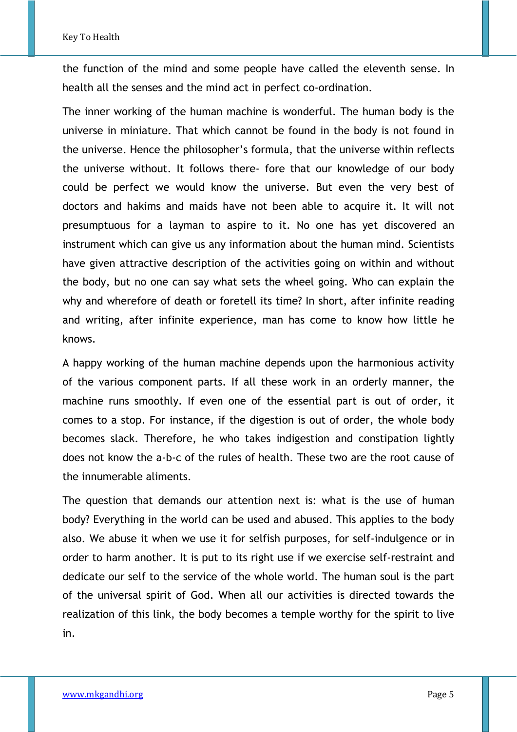the function of the mind and some people have called the eleventh sense. In health all the senses and the mind act in perfect co-ordination.

The inner working of the human machine is wonderful. The human body is the universe in miniature. That which cannot be found in the body is not found in the universe. Hence the philosopher's formula, that the universe within reflects the universe without. It follows there- fore that our knowledge of our body could be perfect we would know the universe. But even the very best of doctors and hakims and maids have not been able to acquire it. It will not presumptuous for a layman to aspire to it. No one has yet discovered an instrument which can give us any information about the human mind. Scientists have given attractive description of the activities going on within and without the body, but no one can say what sets the wheel going. Who can explain the why and wherefore of death or foretell its time? In short, after infinite reading and writing, after infinite experience, man has come to know how little he knows.

A happy working of the human machine depends upon the harmonious activity of the various component parts. If all these work in an orderly manner, the machine runs smoothly. If even one of the essential part is out of order, it comes to a stop. For instance, if the digestion is out of order, the whole body becomes slack. Therefore, he who takes indigestion and constipation lightly does not know the a-b-c of the rules of health. These two are the root cause of the innumerable aliments.

The question that demands our attention next is: what is the use of human body? Everything in the world can be used and abused. This applies to the body also. We abuse it when we use it for selfish purposes, for self-indulgence or in order to harm another. It is put to its right use if we exercise self-restraint and dedicate our self to the service of the whole world. The human soul is the part of the universal spirit of God. When all our activities is directed towards the realization of this link, the body becomes a temple worthy for the spirit to live in.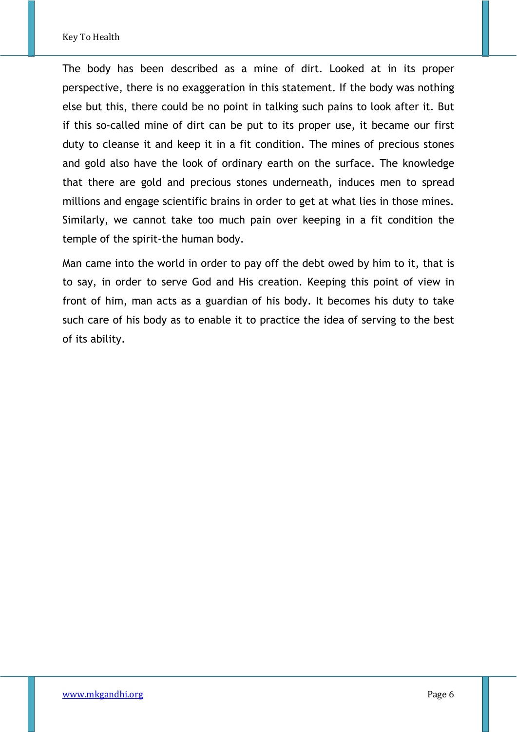The body has been described as a mine of dirt. Looked at in its proper perspective, there is no exaggeration in this statement. If the body was nothing else but this, there could be no point in talking such pains to look after it. But if this so-called mine of dirt can be put to its proper use, it became our first duty to cleanse it and keep it in a fit condition. The mines of precious stones and gold also have the look of ordinary earth on the surface. The knowledge that there are gold and precious stones underneath, induces men to spread millions and engage scientific brains in order to get at what lies in those mines. Similarly, we cannot take too much pain over keeping in a fit condition the temple of the spirit-the human body.

Man came into the world in order to pay off the debt owed by him to it, that is to say, in order to serve God and His creation. Keeping this point of view in front of him, man acts as a guardian of his body. It becomes his duty to take such care of his body as to enable it to practice the idea of serving to the best of its ability.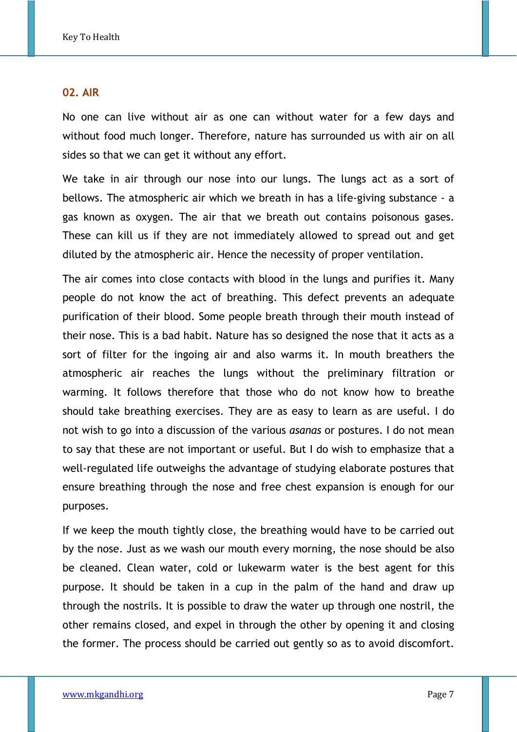## **02. AIR**

No one can live without air as one can without water for a few days and without food much longer. Therefore, nature has surrounded us with air on all sides so that we can get it without any effort.

We take in air through our nose into our lungs. The lungs act as a sort of bellows. The atmospheric air which we breath in has a life-giving substance - a gas known as oxygen. The air that we breath out contains poisonous gases. These can kill us if they are not immediately allowed to spread out and get diluted by the atmospheric air. Hence the necessity of proper ventilation.

The air comes into close contacts with blood in the lungs and purifies it. Many people do not know the act of breathing. This defect prevents an adequate purification of their blood. Some people breath through their mouth instead of their nose. This is a bad habit. Nature has so designed the nose that it acts as a sort of filter for the ingoing air and also warms it. In mouth breathers the atmospheric air reaches the lungs without the preliminary filtration or warming. It follows therefore that those who do not know how to breathe should take breathing exercises. They are as easy to learn as are useful. I do not wish to go into a discussion of the various *asanas* or postures. I do not mean to say that these are not important or useful. But I do wish to emphasize that a well-regulated life outweighs the advantage of studying elaborate postures that ensure breathing through the nose and free chest expansion is enough for our purposes.

If we keep the mouth tightly close, the breathing would have to be carried out by the nose. Just as we wash our mouth every morning, the nose should be also be cleaned. Clean water, cold or lukewarm water is the best agent for this purpose. It should be taken in a cup in the palm of the hand and draw up through the nostrils. It is possible to draw the water up through one nostril, the other remains closed, and expel in through the other by opening it and closing the former. The process should be carried out gently so as to avoid discomfort.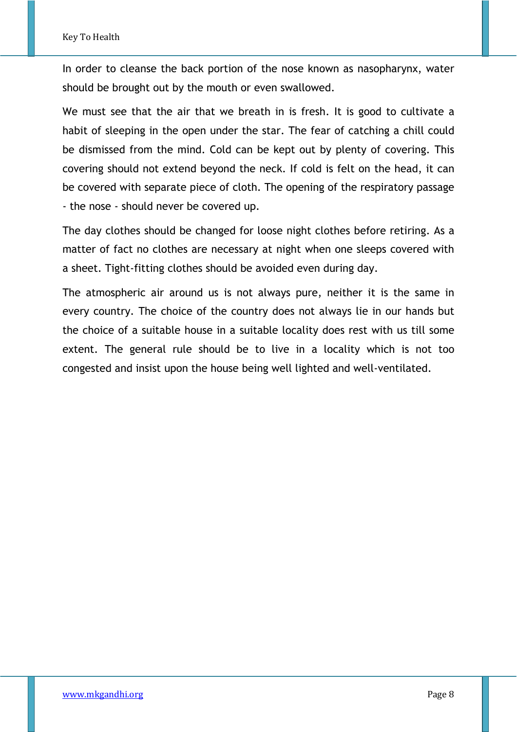In order to cleanse the back portion of the nose known as nasopharynx, water should be brought out by the mouth or even swallowed.

We must see that the air that we breath in is fresh. It is good to cultivate a habit of sleeping in the open under the star. The fear of catching a chill could be dismissed from the mind. Cold can be kept out by plenty of covering. This covering should not extend beyond the neck. If cold is felt on the head, it can be covered with separate piece of cloth. The opening of the respiratory passage - the nose - should never be covered up.

The day clothes should be changed for loose night clothes before retiring. As a matter of fact no clothes are necessary at night when one sleeps covered with a sheet. Tight-fitting clothes should be avoided even during day.

The atmospheric air around us is not always pure, neither it is the same in every country. The choice of the country does not always lie in our hands but the choice of a suitable house in a suitable locality does rest with us till some extent. The general rule should be to live in a locality which is not too congested and insist upon the house being well lighted and well-ventilated.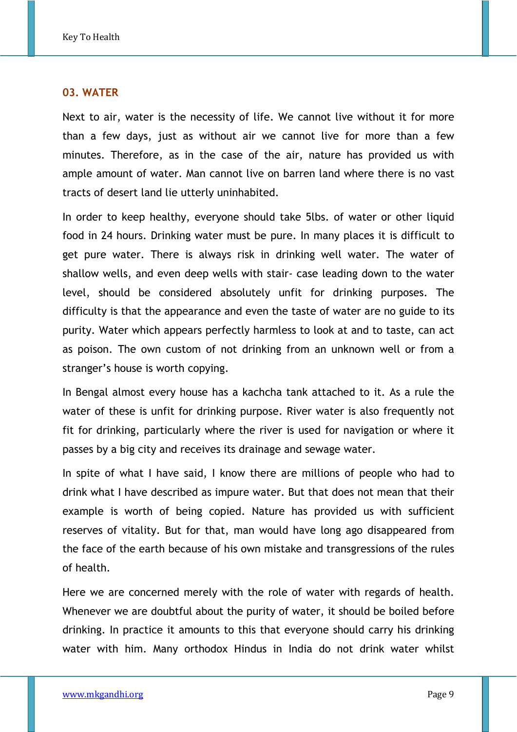## **03. WATER**

Next to air, water is the necessity of life. We cannot live without it for more than a few days, just as without air we cannot live for more than a few minutes. Therefore, as in the case of the air, nature has provided us with ample amount of water. Man cannot live on barren land where there is no vast tracts of desert land lie utterly uninhabited.

In order to keep healthy, everyone should take 5lbs. of water or other liquid food in 24 hours. Drinking water must be pure. In many places it is difficult to get pure water. There is always risk in drinking well water. The water of shallow wells, and even deep wells with stair- case leading down to the water level, should be considered absolutely unfit for drinking purposes. The difficulty is that the appearance and even the taste of water are no guide to its purity. Water which appears perfectly harmless to look at and to taste, can act as poison. The own custom of not drinking from an unknown well or from a stranger's house is worth copying.

In Bengal almost every house has a kachcha tank attached to it. As a rule the water of these is unfit for drinking purpose. River water is also frequently not fit for drinking, particularly where the river is used for navigation or where it passes by a big city and receives its drainage and sewage water.

In spite of what I have said, I know there are millions of people who had to drink what I have described as impure water. But that does not mean that their example is worth of being copied. Nature has provided us with sufficient reserves of vitality. But for that, man would have long ago disappeared from the face of the earth because of his own mistake and transgressions of the rules of health.

Here we are concerned merely with the role of water with regards of health. Whenever we are doubtful about the purity of water, it should be boiled before drinking. In practice it amounts to this that everyone should carry his drinking water with him. Many orthodox Hindus in India do not drink water whilst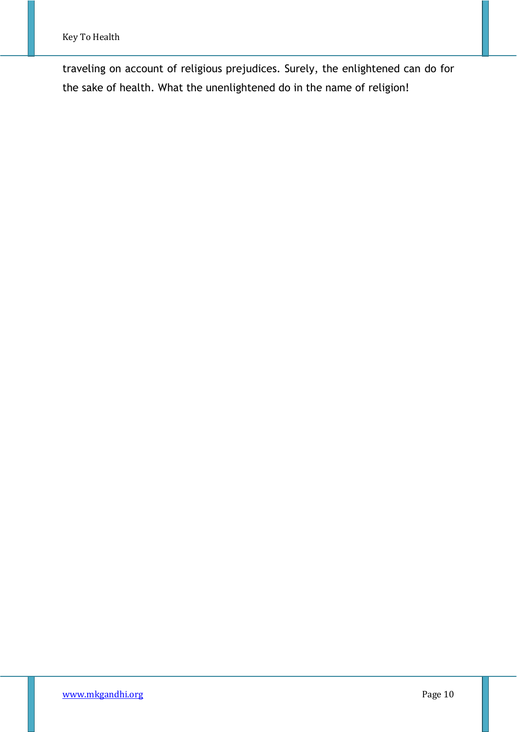traveling on account of religious prejudices. Surely, the enlightened can do for the sake of health. What the unenlightened do in the name of religion!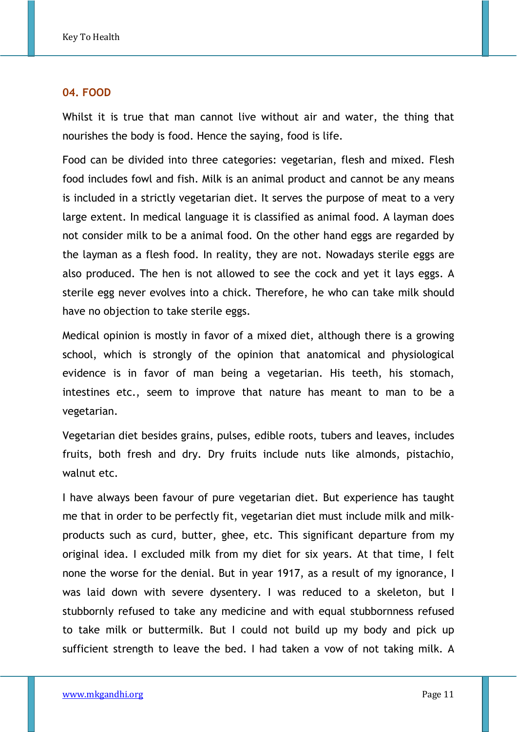#### **04. FOOD**

Whilst it is true that man cannot live without air and water, the thing that nourishes the body is food. Hence the saying, food is life.

Food can be divided into three categories: vegetarian, flesh and mixed. Flesh food includes fowl and fish. Milk is an animal product and cannot be any means is included in a strictly vegetarian diet. It serves the purpose of meat to a very large extent. In medical language it is classified as animal food. A layman does not consider milk to be a animal food. On the other hand eggs are regarded by the layman as a flesh food. In reality, they are not. Nowadays sterile eggs are also produced. The hen is not allowed to see the cock and yet it lays eggs. A sterile egg never evolves into a chick. Therefore, he who can take milk should have no objection to take sterile eggs.

Medical opinion is mostly in favor of a mixed diet, although there is a growing school, which is strongly of the opinion that anatomical and physiological evidence is in favor of man being a vegetarian. His teeth, his stomach, intestines etc., seem to improve that nature has meant to man to be a vegetarian.

Vegetarian diet besides grains, pulses, edible roots, tubers and leaves, includes fruits, both fresh and dry. Dry fruits include nuts like almonds, pistachio, walnut etc.

I have always been favour of pure vegetarian diet. But experience has taught me that in order to be perfectly fit, vegetarian diet must include milk and milkproducts such as curd, butter, ghee, etc. This significant departure from my original idea. I excluded milk from my diet for six years. At that time, I felt none the worse for the denial. But in year 1917, as a result of my ignorance, I was laid down with severe dysentery. I was reduced to a skeleton, but I stubbornly refused to take any medicine and with equal stubbornness refused to take milk or buttermilk. But I could not build up my body and pick up sufficient strength to leave the bed. I had taken a vow of not taking milk. A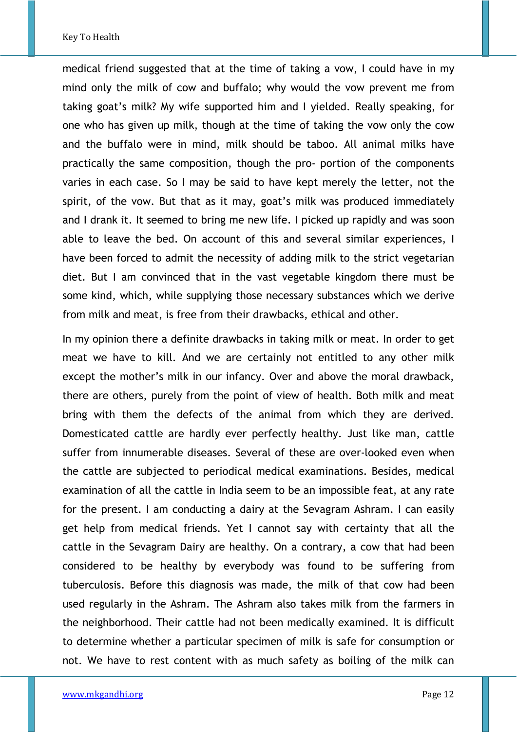medical friend suggested that at the time of taking a vow, I could have in my mind only the milk of cow and buffalo; why would the vow prevent me from taking goat's milk? My wife supported him and I yielded. Really speaking, for one who has given up milk, though at the time of taking the vow only the cow and the buffalo were in mind, milk should be taboo. All animal milks have practically the same composition, though the pro- portion of the components varies in each case. So I may be said to have kept merely the letter, not the spirit, of the vow. But that as it may, goat's milk was produced immediately and I drank it. It seemed to bring me new life. I picked up rapidly and was soon able to leave the bed. On account of this and several similar experiences, I have been forced to admit the necessity of adding milk to the strict vegetarian diet. But I am convinced that in the vast vegetable kingdom there must be some kind, which, while supplying those necessary substances which we derive from milk and meat, is free from their drawbacks, ethical and other.

In my opinion there a definite drawbacks in taking milk or meat. In order to get meat we have to kill. And we are certainly not entitled to any other milk except the mother's milk in our infancy. Over and above the moral drawback, there are others, purely from the point of view of health. Both milk and meat bring with them the defects of the animal from which they are derived. Domesticated cattle are hardly ever perfectly healthy. Just like man, cattle suffer from innumerable diseases. Several of these are over-looked even when the cattle are subjected to periodical medical examinations. Besides, medical examination of all the cattle in India seem to be an impossible feat, at any rate for the present. I am conducting a dairy at the Sevagram Ashram. I can easily get help from medical friends. Yet I cannot say with certainty that all the cattle in the Sevagram Dairy are healthy. On a contrary, a cow that had been considered to be healthy by everybody was found to be suffering from tuberculosis. Before this diagnosis was made, the milk of that cow had been used regularly in the Ashram. The Ashram also takes milk from the farmers in the neighborhood. Their cattle had not been medically examined. It is difficult to determine whether a particular specimen of milk is safe for consumption or not. We have to rest content with as much safety as boiling of the milk can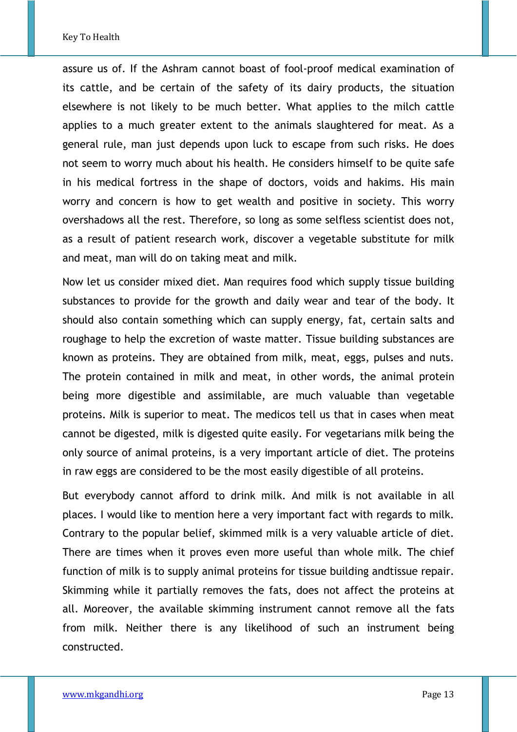assure us of. If the Ashram cannot boast of fool-proof medical examination of its cattle, and be certain of the safety of its dairy products, the situation elsewhere is not likely to be much better. What applies to the milch cattle applies to a much greater extent to the animals slaughtered for meat. As a general rule, man just depends upon luck to escape from such risks. He does not seem to worry much about his health. He considers himself to be quite safe in his medical fortress in the shape of doctors, voids and hakims. His main worry and concern is how to get wealth and positive in society. This worry overshadows all the rest. Therefore, so long as some selfless scientist does not, as a result of patient research work, discover a vegetable substitute for milk and meat, man will do on taking meat and milk.

Now let us consider mixed diet. Man requires food which supply tissue building substances to provide for the growth and daily wear and tear of the body. It should also contain something which can supply energy, fat, certain salts and roughage to help the excretion of waste matter. Tissue building substances are known as proteins. They are obtained from milk, meat, eggs, pulses and nuts. The protein contained in milk and meat, in other words, the animal protein being more digestible and assimilable, are much valuable than vegetable proteins. Milk is superior to meat. The medicos tell us that in cases when meat cannot be digested, milk is digested quite easily. For vegetarians milk being the only source of animal proteins, is a very important article of diet. The proteins in raw eggs are considered to be the most easily digestible of all proteins.

But everybody cannot afford to drink milk. And milk is not available in all places. I would like to mention here a very important fact with regards to milk. Contrary to the popular belief, skimmed milk is a very valuable article of diet. There are times when it proves even more useful than whole milk. The chief function of milk is to supply animal proteins for tissue building andtissue repair. Skimming while it partially removes the fats, does not affect the proteins at all. Moreover, the available skimming instrument cannot remove all the fats from milk. Neither there is any likelihood of such an instrument being constructed.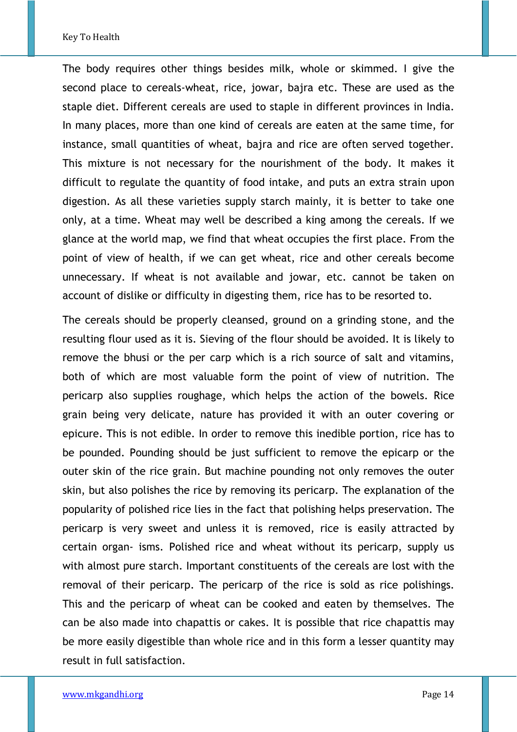The body requires other things besides milk, whole or skimmed. I give the second place to cereals-wheat, rice, jowar, bajra etc. These are used as the staple diet. Different cereals are used to staple in different provinces in India. In many places, more than one kind of cereals are eaten at the same time, for instance, small quantities of wheat, bajra and rice are often served together. This mixture is not necessary for the nourishment of the body. It makes it difficult to regulate the quantity of food intake, and puts an extra strain upon digestion. As all these varieties supply starch mainly, it is better to take one only, at a time. Wheat may well be described a king among the cereals. If we glance at the world map, we find that wheat occupies the first place. From the point of view of health, if we can get wheat, rice and other cereals become unnecessary. If wheat is not available and jowar, etc. cannot be taken on account of dislike or difficulty in digesting them, rice has to be resorted to.

The cereals should be properly cleansed, ground on a grinding stone, and the resulting flour used as it is. Sieving of the flour should be avoided. It is likely to remove the bhusi or the per carp which is a rich source of salt and vitamins, both of which are most valuable form the point of view of nutrition. The pericarp also supplies roughage, which helps the action of the bowels. Rice grain being very delicate, nature has provided it with an outer covering or epicure. This is not edible. In order to remove this inedible portion, rice has to be pounded. Pounding should be just sufficient to remove the epicarp or the outer skin of the rice grain. But machine pounding not only removes the outer skin, but also polishes the rice by removing its pericarp. The explanation of the popularity of polished rice lies in the fact that polishing helps preservation. The pericarp is very sweet and unless it is removed, rice is easily attracted by certain organ- isms. Polished rice and wheat without its pericarp, supply us with almost pure starch. Important constituents of the cereals are lost with the removal of their pericarp. The pericarp of the rice is sold as rice polishings. This and the pericarp of wheat can be cooked and eaten by themselves. The can be also made into chapattis or cakes. It is possible that rice chapattis may be more easily digestible than whole rice and in this form a lesser quantity may result in full satisfaction.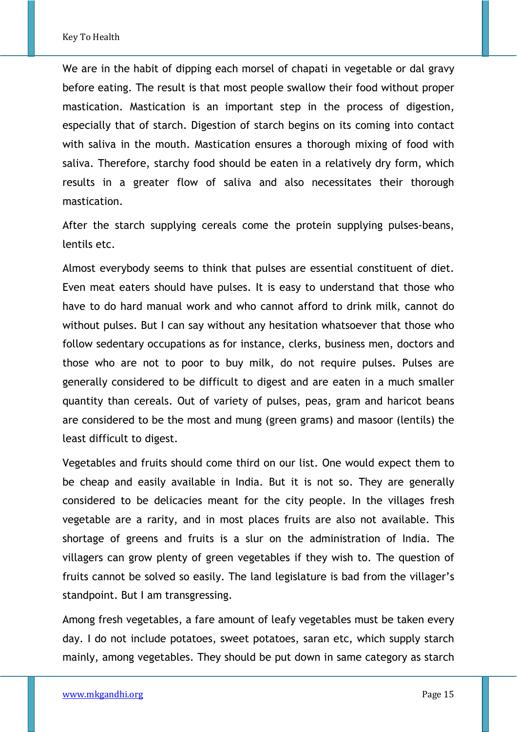We are in the habit of dipping each morsel of chapati in vegetable or dal gravy before eating. The result is that most people swallow their food without proper mastication. Mastication is an important step in the process of digestion, especially that of starch. Digestion of starch begins on its coming into contact with saliva in the mouth. Mastication ensures a thorough mixing of food with saliva. Therefore, starchy food should be eaten in a relatively dry form, which results in a greater flow of saliva and also necessitates their thorough mastication.

After the starch supplying cereals come the protein supplying pulses-beans, lentils etc.

Almost everybody seems to think that pulses are essential constituent of diet. Even meat eaters should have pulses. It is easy to understand that those who have to do hard manual work and who cannot afford to drink milk, cannot do without pulses. But I can say without any hesitation whatsoever that those who follow sedentary occupations as for instance, clerks, business men, doctors and those who are not to poor to buy milk, do not require pulses. Pulses are generally considered to be difficult to digest and are eaten in a much smaller quantity than cereals. Out of variety of pulses, peas, gram and haricot beans are considered to be the most and mung (green grams) and masoor (lentils) the least difficult to digest.

Vegetables and fruits should come third on our list. One would expect them to be cheap and easily available in India. But it is not so. They are generally considered to be delicacies meant for the city people. In the villages fresh vegetable are a rarity, and in most places fruits are also not available. This shortage of greens and fruits is a slur on the administration of India. The villagers can grow plenty of green vegetables if they wish to. The question of fruits cannot be solved so easily. The land legislature is bad from the villager's standpoint. But I am transgressing.

Among fresh vegetables, a fare amount of leafy vegetables must be taken every day. I do not include potatoes, sweet potatoes, saran etc, which supply starch mainly, among vegetables. They should be put down in same category as starch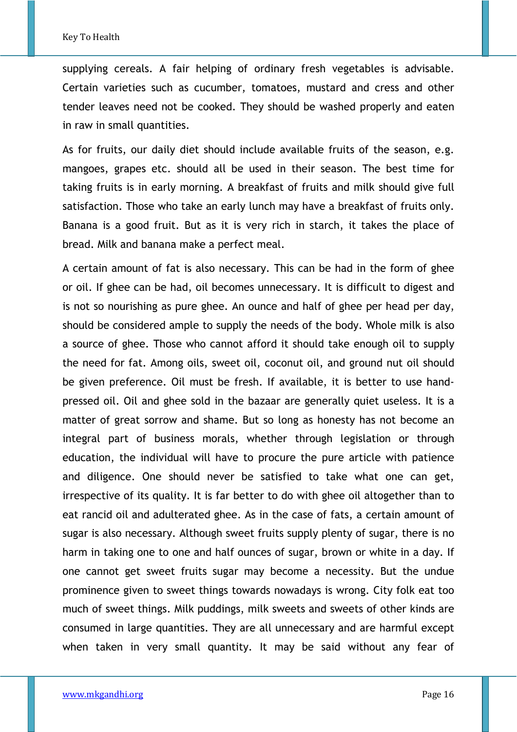supplying cereals. A fair helping of ordinary fresh vegetables is advisable. Certain varieties such as cucumber, tomatoes, mustard and cress and other tender leaves need not be cooked. They should be washed properly and eaten in raw in small quantities.

As for fruits, our daily diet should include available fruits of the season, e.g. mangoes, grapes etc. should all be used in their season. The best time for taking fruits is in early morning. A breakfast of fruits and milk should give full satisfaction. Those who take an early lunch may have a breakfast of fruits only. Banana is a good fruit. But as it is very rich in starch, it takes the place of bread. Milk and banana make a perfect meal.

A certain amount of fat is also necessary. This can be had in the form of ghee or oil. If ghee can be had, oil becomes unnecessary. It is difficult to digest and is not so nourishing as pure ghee. An ounce and half of ghee per head per day, should be considered ample to supply the needs of the body. Whole milk is also a source of ghee. Those who cannot afford it should take enough oil to supply the need for fat. Among oils, sweet oil, coconut oil, and ground nut oil should be given preference. Oil must be fresh. If available, it is better to use handpressed oil. Oil and ghee sold in the bazaar are generally quiet useless. It is a matter of great sorrow and shame. But so long as honesty has not become an integral part of business morals, whether through legislation or through education, the individual will have to procure the pure article with patience and diligence. One should never be satisfied to take what one can get, irrespective of its quality. It is far better to do with ghee oil altogether than to eat rancid oil and adulterated ghee. As in the case of fats, a certain amount of sugar is also necessary. Although sweet fruits supply plenty of sugar, there is no harm in taking one to one and half ounces of sugar, brown or white in a day. If one cannot get sweet fruits sugar may become a necessity. But the undue prominence given to sweet things towards nowadays is wrong. City folk eat too much of sweet things. Milk puddings, milk sweets and sweets of other kinds are consumed in large quantities. They are all unnecessary and are harmful except when taken in very small quantity. It may be said without any fear of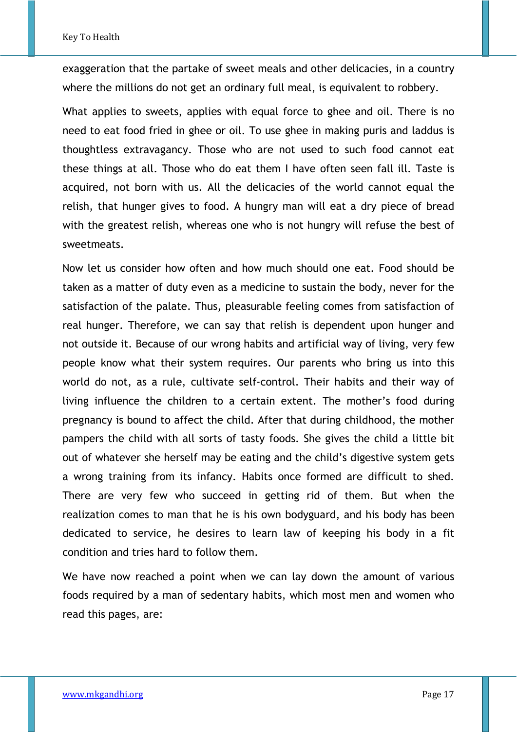exaggeration that the partake of sweet meals and other delicacies, in a country where the millions do not get an ordinary full meal, is equivalent to robbery.

What applies to sweets, applies with equal force to ghee and oil. There is no need to eat food fried in ghee or oil. To use ghee in making puris and laddus is thoughtless extravagancy. Those who are not used to such food cannot eat these things at all. Those who do eat them I have often seen fall ill. Taste is acquired, not born with us. All the delicacies of the world cannot equal the relish, that hunger gives to food. A hungry man will eat a dry piece of bread with the greatest relish, whereas one who is not hungry will refuse the best of sweetmeats.

Now let us consider how often and how much should one eat. Food should be taken as a matter of duty even as a medicine to sustain the body, never for the satisfaction of the palate. Thus, pleasurable feeling comes from satisfaction of real hunger. Therefore, we can say that relish is dependent upon hunger and not outside it. Because of our wrong habits and artificial way of living, very few people know what their system requires. Our parents who bring us into this world do not, as a rule, cultivate self-control. Their habits and their way of living influence the children to a certain extent. The mother's food during pregnancy is bound to affect the child. After that during childhood, the mother pampers the child with all sorts of tasty foods. She gives the child a little bit out of whatever she herself may be eating and the child's digestive system gets a wrong training from its infancy. Habits once formed are difficult to shed. There are very few who succeed in getting rid of them. But when the realization comes to man that he is his own bodyguard, and his body has been dedicated to service, he desires to learn law of keeping his body in a fit condition and tries hard to follow them.

We have now reached a point when we can lay down the amount of various foods required by a man of sedentary habits, which most men and women who read this pages, are: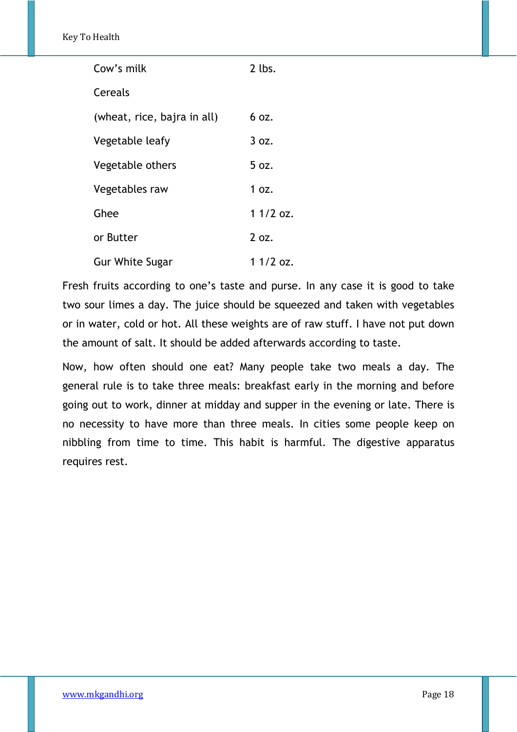| Cow's milk                  | $2$ lbs.   |
|-----------------------------|------------|
| Cereals                     |            |
| (wheat, rice, bajra in all) | 6 oz.      |
| Vegetable leafy             | 3 oz.      |
| Vegetable others            | 5 oz.      |
| Vegetables raw              | 1 oz.      |
| Ghee                        | $11/2$ oz. |
| or Butter                   | 2 oz.      |
| <b>Gur White Sugar</b>      | 1 1/2 oz.  |

Fresh fruits according to one's taste and purse. In any case it is good to take two sour limes a day. The juice should be squeezed and taken with vegetables or in water, cold or hot. All these weights are of raw stuff. I have not put down the amount of salt. It should be added afterwards according to taste.

Now, how often should one eat? Many people take two meals a day. The general rule is to take three meals: breakfast early in the morning and before going out to work, dinner at midday and supper in the evening or late. There is no necessity to have more than three meals. In cities some people keep on nibbling from time to time. This habit is harmful. The digestive apparatus requires rest.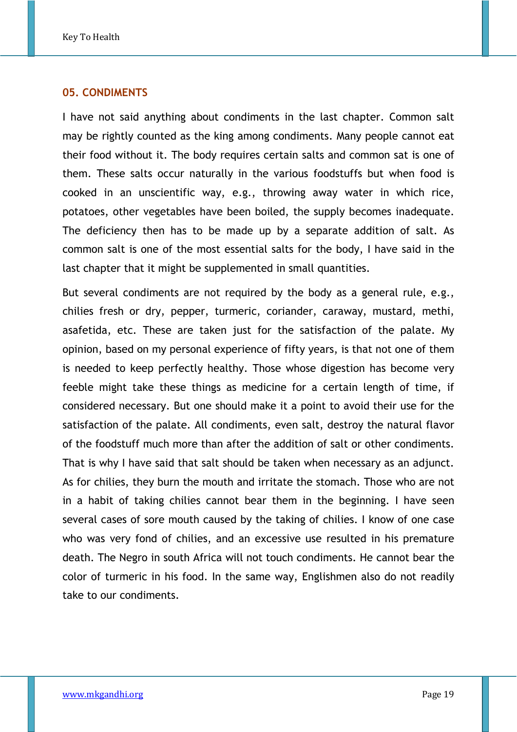#### **05. CONDIMENTS**

I have not said anything about condiments in the last chapter. Common salt may be rightly counted as the king among condiments. Many people cannot eat their food without it. The body requires certain salts and common sat is one of them. These salts occur naturally in the various foodstuffs but when food is cooked in an unscientific way, e.g., throwing away water in which rice, potatoes, other vegetables have been boiled, the supply becomes inadequate. The deficiency then has to be made up by a separate addition of salt. As common salt is one of the most essential salts for the body, I have said in the last chapter that it might be supplemented in small quantities.

But several condiments are not required by the body as a general rule, e.g., chilies fresh or dry, pepper, turmeric, coriander, caraway, mustard, methi, asafetida, etc. These are taken just for the satisfaction of the palate. My opinion, based on my personal experience of fifty years, is that not one of them is needed to keep perfectly healthy. Those whose digestion has become very feeble might take these things as medicine for a certain length of time, if considered necessary. But one should make it a point to avoid their use for the satisfaction of the palate. All condiments, even salt, destroy the natural flavor of the foodstuff much more than after the addition of salt or other condiments. That is why I have said that salt should be taken when necessary as an adjunct. As for chilies, they burn the mouth and irritate the stomach. Those who are not in a habit of taking chilies cannot bear them in the beginning. I have seen several cases of sore mouth caused by the taking of chilies. I know of one case who was very fond of chilies, and an excessive use resulted in his premature death. The Negro in south Africa will not touch condiments. He cannot bear the color of turmeric in his food. In the same way, Englishmen also do not readily take to our condiments.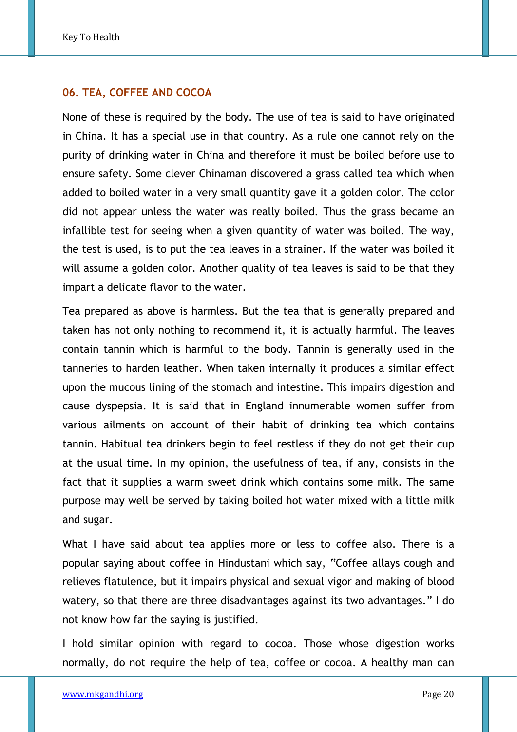## **06. TEA, COFFEE AND COCOA**

None of these is required by the body. The use of tea is said to have originated in China. It has a special use in that country. As a rule one cannot rely on the purity of drinking water in China and therefore it must be boiled before use to ensure safety. Some clever Chinaman discovered a grass called tea which when added to boiled water in a very small quantity gave it a golden color. The color did not appear unless the water was really boiled. Thus the grass became an infallible test for seeing when a given quantity of water was boiled. The way, the test is used, is to put the tea leaves in a strainer. If the water was boiled it will assume a golden color. Another quality of tea leaves is said to be that they impart a delicate flavor to the water.

Tea prepared as above is harmless. But the tea that is generally prepared and taken has not only nothing to recommend it, it is actually harmful. The leaves contain tannin which is harmful to the body. Tannin is generally used in the tanneries to harden leather. When taken internally it produces a similar effect upon the mucous lining of the stomach and intestine. This impairs digestion and cause dyspepsia. It is said that in England innumerable women suffer from various ailments on account of their habit of drinking tea which contains tannin. Habitual tea drinkers begin to feel restless if they do not get their cup at the usual time. In my opinion, the usefulness of tea, if any, consists in the fact that it supplies a warm sweet drink which contains some milk. The same purpose may well be served by taking boiled hot water mixed with a little milk and sugar.

What I have said about tea applies more or less to coffee also. There is a popular saying about coffee in Hindustani which say, "Coffee allays cough and relieves flatulence, but it impairs physical and sexual vigor and making of blood watery, so that there are three disadvantages against its two advantages." I do not know how far the saying is justified.

I hold similar opinion with regard to cocoa. Those whose digestion works normally, do not require the help of tea, coffee or cocoa. A healthy man can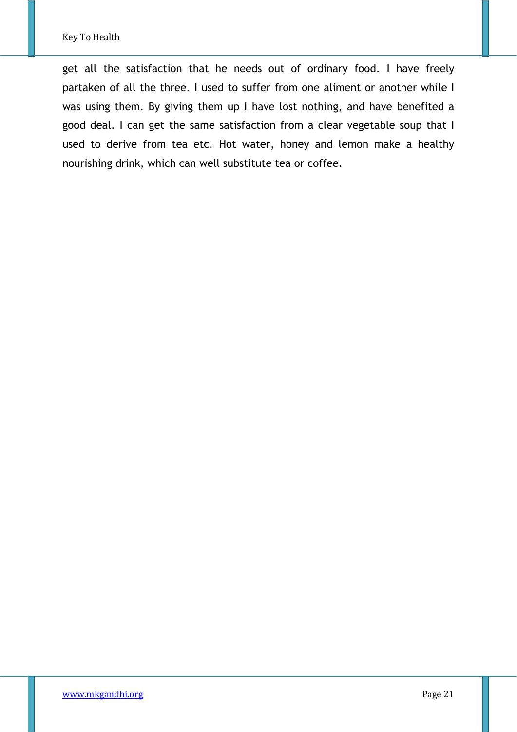get all the satisfaction that he needs out of ordinary food. I have freely partaken of all the three. I used to suffer from one aliment or another while I was using them. By giving them up I have lost nothing, and have benefited a good deal. I can get the same satisfaction from a clear vegetable soup that I used to derive from tea etc. Hot water, honey and lemon make a healthy nourishing drink, which can well substitute tea or coffee.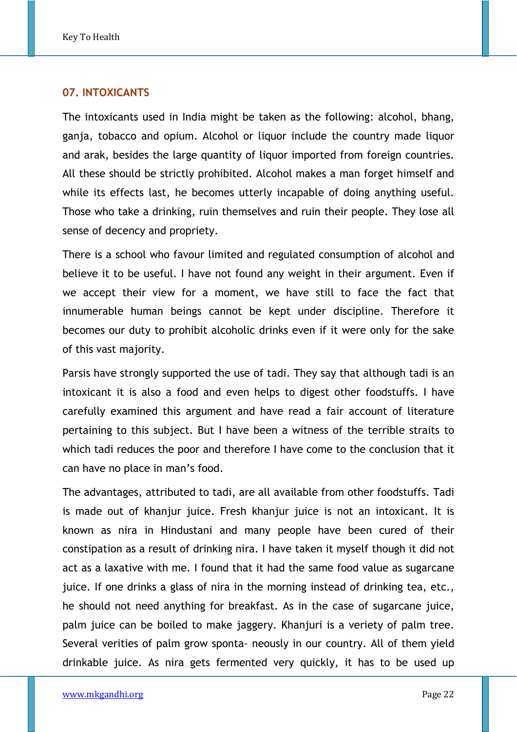## **07. INTOXICANTS**

The intoxicants used in India might be taken as the following: alcohol, bhang, ganja, tobacco and opium. Alcohol or liquor include the country made liquor and arak, besides the large quantity of liquor imported from foreign countries. All these should be strictly prohibited. Alcohol makes a man forget himself and while its effects last, he becomes utterly incapable of doing anything useful. Those who take a drinking, ruin themselves and ruin their people. They lose all sense of decency and propriety.

There is a school who favour limited and regulated consumption of alcohol and believe it to be useful. I have not found any weight in their argument. Even if we accept their view for a moment, we have still to face the fact that innumerable human beings cannot be kept under discipline. Therefore it becomes our duty to prohibit alcoholic drinks even if it were only for the sake of this vast majority.

Parsis have strongly supported the use of tadi. They say that although tadi is an intoxicant it is also a food and even helps to digest other foodstuffs. I have carefully examined this argument and have read a fair account of literature pertaining to this subject. But I have been a witness of the terrible straits to which tadi reduces the poor and therefore I have come to the conclusion that it can have no place in man's food.

The advantages, attributed to tadi, are all available from other foodstuffs. Tadi is made out of khanjur juice. Fresh khanjur juice is not an intoxicant. It is known as nira in Hindustani and many people have been cured of their constipation as a result of drinking nira. I have taken it myself though it did not act as a laxative with me. I found that it had the same food value as sugarcane juice. If one drinks a glass of nira in the morning instead of drinking tea, etc., he should not need anything for breakfast. As in the case of sugarcane juice, palm juice can be boiled to make jaggery. Khanjuri is a veriety of palm tree. Several verities of palm grow sponta- neously in our country. All of them yield drinkable juice. As nira gets fermented very quickly, it has to be used up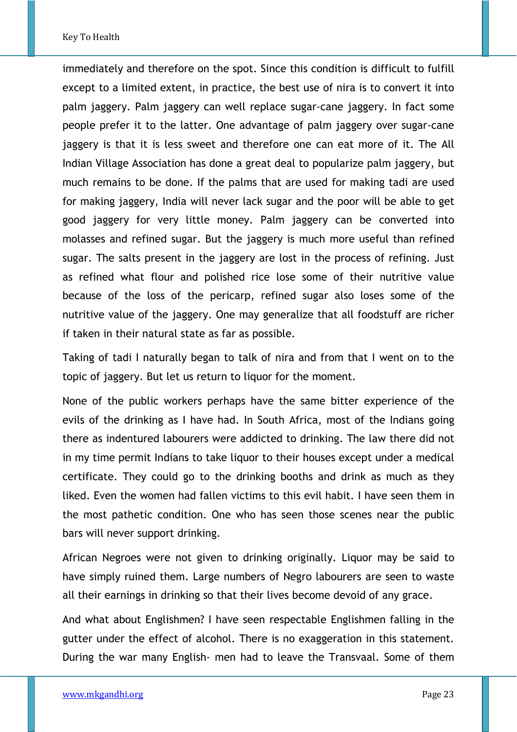immediately and therefore on the spot. Since this condition is difficult to fulfill except to a limited extent, in practice, the best use of nira is to convert it into palm jaggery. Palm jaggery can well replace sugar-cane jaggery. In fact some people prefer it to the latter. One advantage of palm jaggery over sugar-cane jaggery is that it is less sweet and therefore one can eat more of it. The All Indian Village Association has done a great deal to popularize palm jaggery, but much remains to be done. If the palms that are used for making tadi are used for making jaggery, India will never lack sugar and the poor will be able to get good jaggery for very little money. Palm jaggery can be converted into molasses and refined sugar. But the jaggery is much more useful than refined sugar. The salts present in the jaggery are lost in the process of refining. Just as refined what flour and polished rice lose some of their nutritive value because of the loss of the pericarp, refined sugar also loses some of the nutritive value of the jaggery. One may generalize that all foodstuff are richer if taken in their natural state as far as possible.

Taking of tadi I naturally began to talk of nira and from that I went on to the topic of jaggery. But let us return to liquor for the moment.

None of the public workers perhaps have the same bitter experience of the evils of the drinking as I have had. In South Africa, most of the Indians going there as indentured labourers were addicted to drinking. The law there did not in my time permit Indians to take liquor to their houses except under a medical certificate. They could go to the drinking booths and drink as much as they liked. Even the women had fallen victims to this evil habit. I have seen them in the most pathetic condition. One who has seen those scenes near the public bars will never support drinking.

African Negroes were not given to drinking originally. Liquor may be said to have simply ruined them. Large numbers of Negro labourers are seen to waste all their earnings in drinking so that their lives become devoid of any grace.

And what about Englishmen? I have seen respectable Englishmen falling in the gutter under the effect of alcohol. There is no exaggeration in this statement. During the war many English- men had to leave the Transvaal. Some of them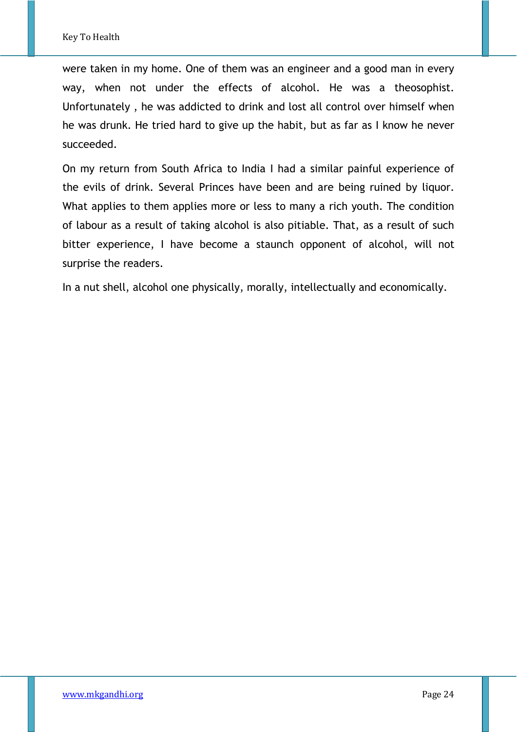were taken in my home. One of them was an engineer and a good man in every way, when not under the effects of alcohol. He was a theosophist. Unfortunately , he was addicted to drink and lost all control over himself when he was drunk. He tried hard to give up the habit, but as far as I know he never succeeded.

On my return from South Africa to India I had a similar painful experience of the evils of drink. Several Princes have been and are being ruined by liquor. What applies to them applies more or less to many a rich youth. The condition of labour as a result of taking alcohol is also pitiable. That, as a result of such bitter experience, I have become a staunch opponent of alcohol, will not surprise the readers.

In a nut shell, alcohol one physically, morally, intellectually and economically.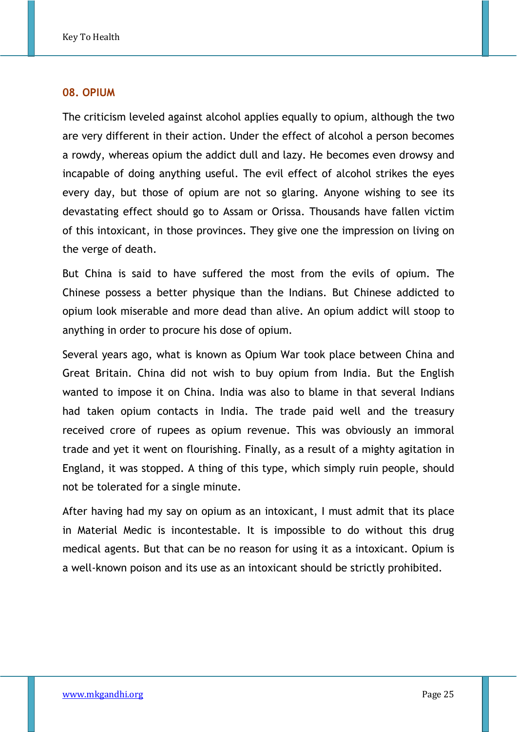## **08. OPIUM**

The criticism leveled against alcohol applies equally to opium, although the two are very different in their action. Under the effect of alcohol a person becomes a rowdy, whereas opium the addict dull and lazy. He becomes even drowsy and incapable of doing anything useful. The evil effect of alcohol strikes the eyes every day, but those of opium are not so glaring. Anyone wishing to see its devastating effect should go to Assam or Orissa. Thousands have fallen victim of this intoxicant, in those provinces. They give one the impression on living on the verge of death.

But China is said to have suffered the most from the evils of opium. The Chinese possess a better physique than the Indians. But Chinese addicted to opium look miserable and more dead than alive. An opium addict will stoop to anything in order to procure his dose of opium.

Several years ago, what is known as Opium War took place between China and Great Britain. China did not wish to buy opium from India. But the English wanted to impose it on China. India was also to blame in that several Indians had taken opium contacts in India. The trade paid well and the treasury received crore of rupees as opium revenue. This was obviously an immoral trade and yet it went on flourishing. Finally, as a result of a mighty agitation in England, it was stopped. A thing of this type, which simply ruin people, should not be tolerated for a single minute.

After having had my say on opium as an intoxicant, I must admit that its place in Material Medic is incontestable. It is impossible to do without this drug medical agents. But that can be no reason for using it as a intoxicant. Opium is a well-known poison and its use as an intoxicant should be strictly prohibited.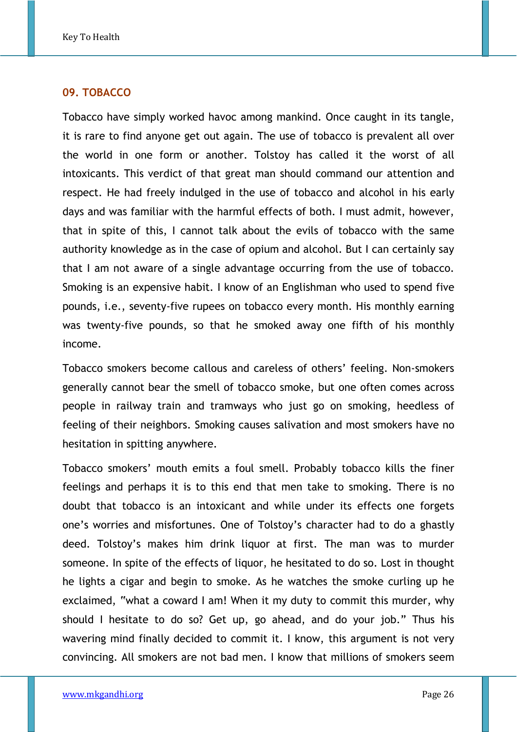## **09. TOBACCO**

Tobacco have simply worked havoc among mankind. Once caught in its tangle, it is rare to find anyone get out again. The use of tobacco is prevalent all over the world in one form or another. Tolstoy has called it the worst of all intoxicants. This verdict of that great man should command our attention and respect. He had freely indulged in the use of tobacco and alcohol in his early days and was familiar with the harmful effects of both. I must admit, however, that in spite of this, I cannot talk about the evils of tobacco with the same authority knowledge as in the case of opium and alcohol. But I can certainly say that I am not aware of a single advantage occurring from the use of tobacco. Smoking is an expensive habit. I know of an Englishman who used to spend five pounds, i.e., seventy-five rupees on tobacco every month. His monthly earning was twenty-five pounds, so that he smoked away one fifth of his monthly income.

Tobacco smokers become callous and careless of others' feeling. Non-smokers generally cannot bear the smell of tobacco smoke, but one often comes across people in railway train and tramways who just go on smoking, heedless of feeling of their neighbors. Smoking causes salivation and most smokers have no hesitation in spitting anywhere.

Tobacco smokers' mouth emits a foul smell. Probably tobacco kills the finer feelings and perhaps it is to this end that men take to smoking. There is no doubt that tobacco is an intoxicant and while under its effects one forgets one's worries and misfortunes. One of Tolstoy's character had to do a ghastly deed. Tolstoy's makes him drink liquor at first. The man was to murder someone. In spite of the effects of liquor, he hesitated to do so. Lost in thought he lights a cigar and begin to smoke. As he watches the smoke curling up he exclaimed, "what a coward I am! When it my duty to commit this murder, why should I hesitate to do so? Get up, go ahead, and do your job." Thus his wavering mind finally decided to commit it. I know, this argument is not very convincing. All smokers are not bad men. I know that millions of smokers seem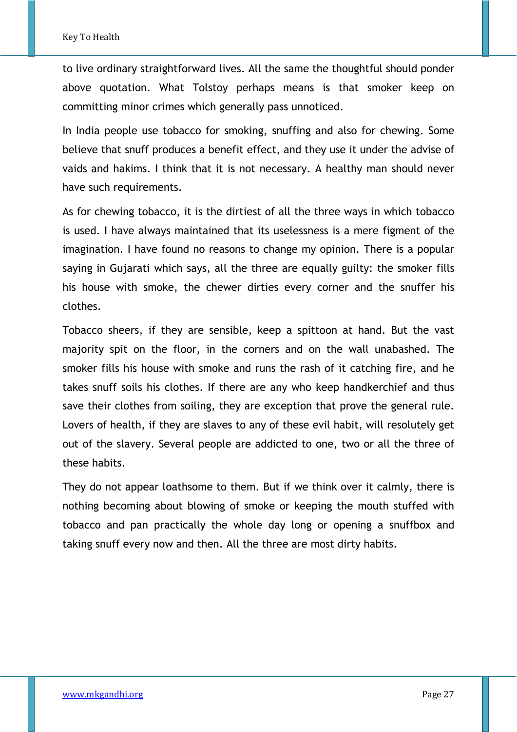to live ordinary straightforward lives. All the same the thoughtful should ponder above quotation. What Tolstoy perhaps means is that smoker keep on committing minor crimes which generally pass unnoticed.

In India people use tobacco for smoking, snuffing and also for chewing. Some believe that snuff produces a benefit effect, and they use it under the advise of vaids and hakims. I think that it is not necessary. A healthy man should never have such requirements.

As for chewing tobacco, it is the dirtiest of all the three ways in which tobacco is used. I have always maintained that its uselessness is a mere figment of the imagination. I have found no reasons to change my opinion. There is a popular saying in Gujarati which says, all the three are equally guilty: the smoker fills his house with smoke, the chewer dirties every corner and the snuffer his clothes.

Tobacco sheers, if they are sensible, keep a spittoon at hand. But the vast majority spit on the floor, in the corners and on the wall unabashed. The smoker fills his house with smoke and runs the rash of it catching fire, and he takes snuff soils his clothes. If there are any who keep handkerchief and thus save their clothes from soiling, they are exception that prove the general rule. Lovers of health, if they are slaves to any of these evil habit, will resolutely get out of the slavery. Several people are addicted to one, two or all the three of these habits.

They do not appear loathsome to them. But if we think over it calmly, there is nothing becoming about blowing of smoke or keeping the mouth stuffed with tobacco and pan practically the whole day long or opening a snuffbox and taking snuff every now and then. All the three are most dirty habits.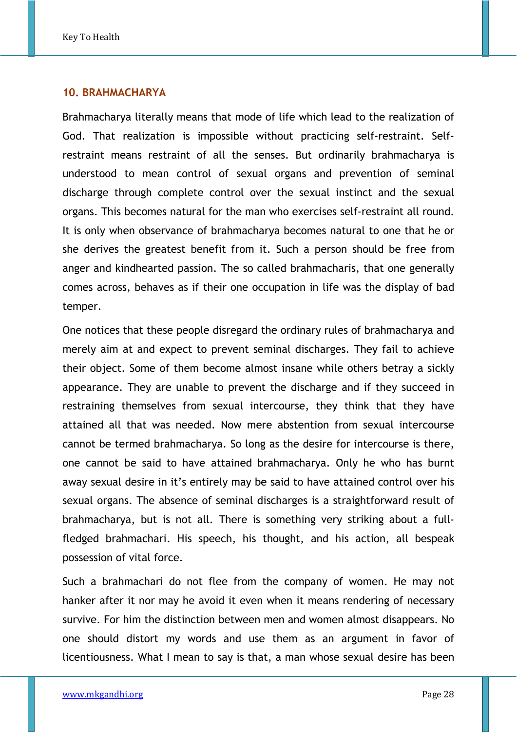## **10. BRAHMACHARYA**

Brahmacharya literally means that mode of life which lead to the realization of God. That realization is impossible without practicing self-restraint. Selfrestraint means restraint of all the senses. But ordinarily brahmacharya is understood to mean control of sexual organs and prevention of seminal discharge through complete control over the sexual instinct and the sexual organs. This becomes natural for the man who exercises self-restraint all round. It is only when observance of brahmacharya becomes natural to one that he or she derives the greatest benefit from it. Such a person should be free from anger and kindhearted passion. The so called brahmacharis, that one generally comes across, behaves as if their one occupation in life was the display of bad temper.

One notices that these people disregard the ordinary rules of brahmacharya and merely aim at and expect to prevent seminal discharges. They fail to achieve their object. Some of them become almost insane while others betray a sickly appearance. They are unable to prevent the discharge and if they succeed in restraining themselves from sexual intercourse, they think that they have attained all that was needed. Now mere abstention from sexual intercourse cannot be termed brahmacharya. So long as the desire for intercourse is there, one cannot be said to have attained brahmacharya. Only he who has burnt away sexual desire in it's entirely may be said to have attained control over his sexual organs. The absence of seminal discharges is a straightforward result of brahmacharya, but is not all. There is something very striking about a fullfledged brahmachari. His speech, his thought, and his action, all bespeak possession of vital force.

Such a brahmachari do not flee from the company of women. He may not hanker after it nor may he avoid it even when it means rendering of necessary survive. For him the distinction between men and women almost disappears. No one should distort my words and use them as an argument in favor of licentiousness. What I mean to say is that, a man whose sexual desire has been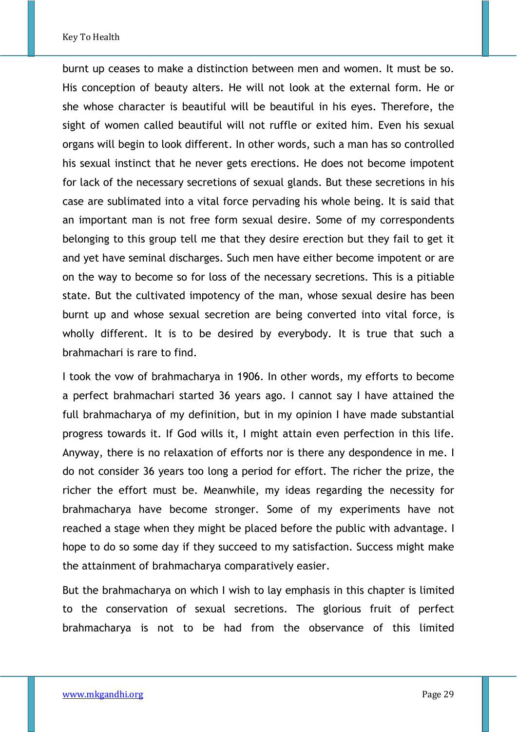burnt up ceases to make a distinction between men and women. It must be so. His conception of beauty alters. He will not look at the external form. He or she whose character is beautiful will be beautiful in his eyes. Therefore, the sight of women called beautiful will not ruffle or exited him. Even his sexual organs will begin to look different. In other words, such a man has so controlled his sexual instinct that he never gets erections. He does not become impotent for lack of the necessary secretions of sexual glands. But these secretions in his case are sublimated into a vital force pervading his whole being. It is said that an important man is not free form sexual desire. Some of my correspondents belonging to this group tell me that they desire erection but they fail to get it and yet have seminal discharges. Such men have either become impotent or are on the way to become so for loss of the necessary secretions. This is a pitiable state. But the cultivated impotency of the man, whose sexual desire has been burnt up and whose sexual secretion are being converted into vital force, is wholly different. It is to be desired by everybody. It is true that such a brahmachari is rare to find.

I took the vow of brahmacharya in 1906. In other words, my efforts to become a perfect brahmachari started 36 years ago. I cannot say I have attained the full brahmacharya of my definition, but in my opinion I have made substantial progress towards it. If God wills it, I might attain even perfection in this life. Anyway, there is no relaxation of efforts nor is there any despondence in me. I do not consider 36 years too long a period for effort. The richer the prize, the richer the effort must be. Meanwhile, my ideas regarding the necessity for brahmacharya have become stronger. Some of my experiments have not reached a stage when they might be placed before the public with advantage. I hope to do so some day if they succeed to my satisfaction. Success might make the attainment of brahmacharya comparatively easier.

But the brahmacharya on which I wish to lay emphasis in this chapter is limited to the conservation of sexual secretions. The glorious fruit of perfect brahmacharya is not to be had from the observance of this limited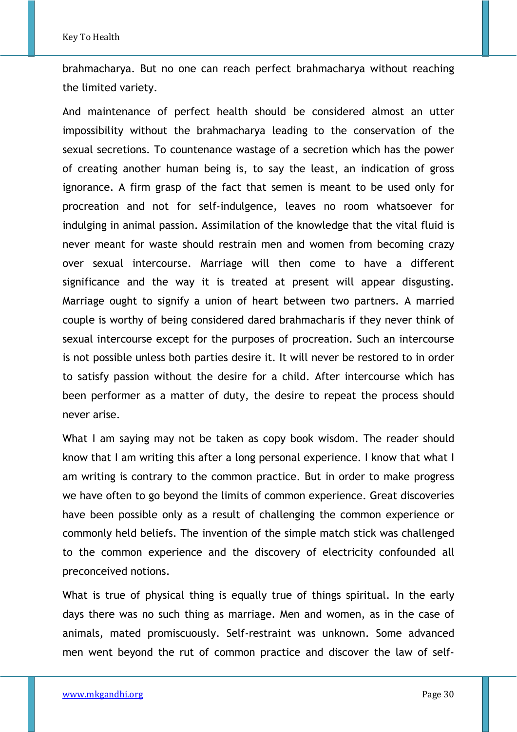brahmacharya. But no one can reach perfect brahmacharya without reaching the limited variety.

And maintenance of perfect health should be considered almost an utter impossibility without the brahmacharya leading to the conservation of the sexual secretions. To countenance wastage of a secretion which has the power of creating another human being is, to say the least, an indication of gross ignorance. A firm grasp of the fact that semen is meant to be used only for procreation and not for self-indulgence, leaves no room whatsoever for indulging in animal passion. Assimilation of the knowledge that the vital fluid is never meant for waste should restrain men and women from becoming crazy over sexual intercourse. Marriage will then come to have a different significance and the way it is treated at present will appear disgusting. Marriage ought to signify a union of heart between two partners. A married couple is worthy of being considered dared brahmacharis if they never think of sexual intercourse except for the purposes of procreation. Such an intercourse is not possible unless both parties desire it. It will never be restored to in order to satisfy passion without the desire for a child. After intercourse which has been performer as a matter of duty, the desire to repeat the process should never arise.

What I am saying may not be taken as copy book wisdom. The reader should know that I am writing this after a long personal experience. I know that what I am writing is contrary to the common practice. But in order to make progress we have often to go beyond the limits of common experience. Great discoveries have been possible only as a result of challenging the common experience or commonly held beliefs. The invention of the simple match stick was challenged to the common experience and the discovery of electricity confounded all preconceived notions.

What is true of physical thing is equally true of things spiritual. In the early days there was no such thing as marriage. Men and women, as in the case of animals, mated promiscuously. Self-restraint was unknown. Some advanced men went beyond the rut of common practice and discover the law of self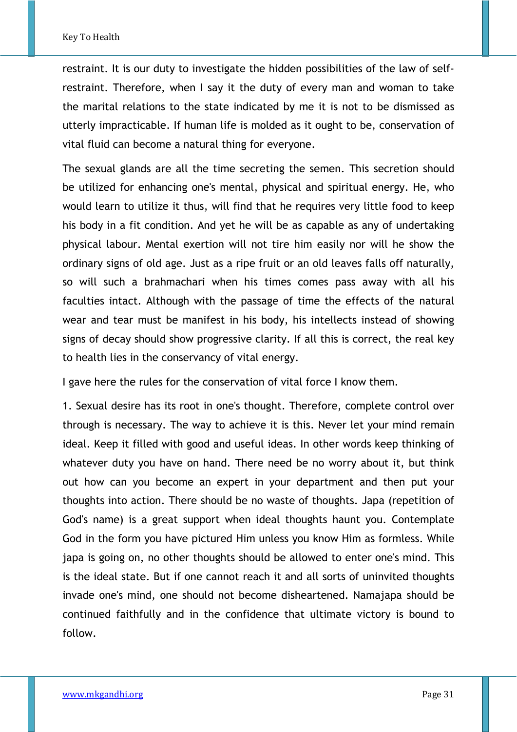restraint. It is our duty to investigate the hidden possibilities of the law of selfrestraint. Therefore, when I say it the duty of every man and woman to take the marital relations to the state indicated by me it is not to be dismissed as utterly impracticable. If human life is molded as it ought to be, conservation of vital fluid can become a natural thing for everyone.

The sexual glands are all the time secreting the semen. This secretion should be utilized for enhancing one's mental, physical and spiritual energy. He, who would learn to utilize it thus, will find that he requires very little food to keep his body in a fit condition. And yet he will be as capable as any of undertaking physical labour. Mental exertion will not tire him easily nor will he show the ordinary signs of old age. Just as a ripe fruit or an old leaves falls off naturally, so will such a brahmachari when his times comes pass away with all his faculties intact. Although with the passage of time the effects of the natural wear and tear must be manifest in his body, his intellects instead of showing signs of decay should show progressive clarity. If all this is correct, the real key to health lies in the conservancy of vital energy.

I gave here the rules for the conservation of vital force I know them.

1. Sexual desire has its root in one's thought. Therefore, complete control over through is necessary. The way to achieve it is this. Never let your mind remain ideal. Keep it filled with good and useful ideas. In other words keep thinking of whatever duty you have on hand. There need be no worry about it, but think out how can you become an expert in your department and then put your thoughts into action. There should be no waste of thoughts. Japa (repetition of God's name) is a great support when ideal thoughts haunt you. Contemplate God in the form you have pictured Him unless you know Him as formless. While japa is going on, no other thoughts should be allowed to enter one's mind. This is the ideal state. But if one cannot reach it and all sorts of uninvited thoughts invade one's mind, one should not become disheartened. Namajapa should be continued faithfully and in the confidence that ultimate victory is bound to follow.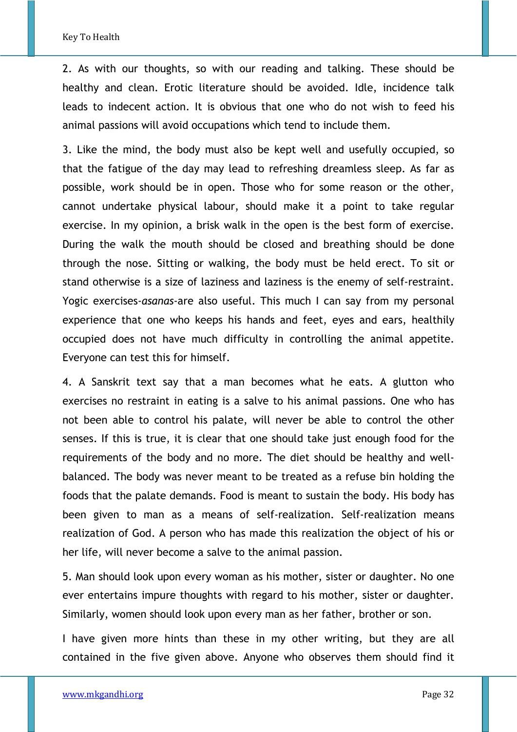2. As with our thoughts, so with our reading and talking. These should be healthy and clean. Erotic literature should be avoided. Idle, incidence talk leads to indecent action. It is obvious that one who do not wish to feed his animal passions will avoid occupations which tend to include them.

3. Like the mind, the body must also be kept well and usefully occupied, so that the fatigue of the day may lead to refreshing dreamless sleep. As far as possible, work should be in open. Those who for some reason or the other, cannot undertake physical labour, should make it a point to take regular exercise. In my opinion, a brisk walk in the open is the best form of exercise. During the walk the mouth should be closed and breathing should be done through the nose. Sitting or walking, the body must be held erect. To sit or stand otherwise is a size of laziness and laziness is the enemy of self-restraint. Yogic exercises-*asanas*-are also useful. This much I can say from my personal experience that one who keeps his hands and feet, eyes and ears, healthily occupied does not have much difficulty in controlling the animal appetite. Everyone can test this for himself.

4. A Sanskrit text say that a man becomes what he eats. A glutton who exercises no restraint in eating is a salve to his animal passions. One who has not been able to control his palate, will never be able to control the other senses. If this is true, it is clear that one should take just enough food for the requirements of the body and no more. The diet should be healthy and wellbalanced. The body was never meant to be treated as a refuse bin holding the foods that the palate demands. Food is meant to sustain the body. His body has been given to man as a means of self-realization. Self-realization means realization of God. A person who has made this realization the object of his or her life, will never become a salve to the animal passion.

5. Man should look upon every woman as his mother, sister or daughter. No one ever entertains impure thoughts with regard to his mother, sister or daughter. Similarly, women should look upon every man as her father, brother or son.

I have given more hints than these in my other writing, but they are all contained in the five given above. Anyone who observes them should find it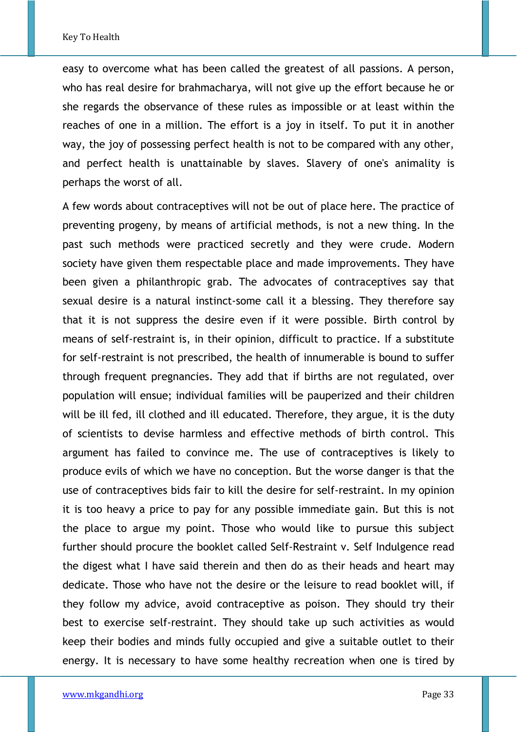easy to overcome what has been called the greatest of all passions. A person, who has real desire for brahmacharya, will not give up the effort because he or she regards the observance of these rules as impossible or at least within the reaches of one in a million. The effort is a joy in itself. To put it in another way, the joy of possessing perfect health is not to be compared with any other, and perfect health is unattainable by slaves. Slavery of one's animality is perhaps the worst of all.

A few words about contraceptives will not be out of place here. The practice of preventing progeny, by means of artificial methods, is not a new thing. In the past such methods were practiced secretly and they were crude. Modern society have given them respectable place and made improvements. They have been given a philanthropic grab. The advocates of contraceptives say that sexual desire is a natural instinct-some call it a blessing. They therefore say that it is not suppress the desire even if it were possible. Birth control by means of self-restraint is, in their opinion, difficult to practice. If a substitute for self-restraint is not prescribed, the health of innumerable is bound to suffer through frequent pregnancies. They add that if births are not regulated, over population will ensue; individual families will be pauperized and their children will be ill fed, ill clothed and ill educated. Therefore, they argue, it is the duty of scientists to devise harmless and effective methods of birth control. This argument has failed to convince me. The use of contraceptives is likely to produce evils of which we have no conception. But the worse danger is that the use of contraceptives bids fair to kill the desire for self-restraint. In my opinion it is too heavy a price to pay for any possible immediate gain. But this is not the place to argue my point. Those who would like to pursue this subject further should procure the booklet called Self-Restraint v. Self Indulgence read the digest what I have said therein and then do as their heads and heart may dedicate. Those who have not the desire or the leisure to read booklet will, if they follow my advice, avoid contraceptive as poison. They should try their best to exercise self-restraint. They should take up such activities as would keep their bodies and minds fully occupied and give a suitable outlet to their energy. It is necessary to have some healthy recreation when one is tired by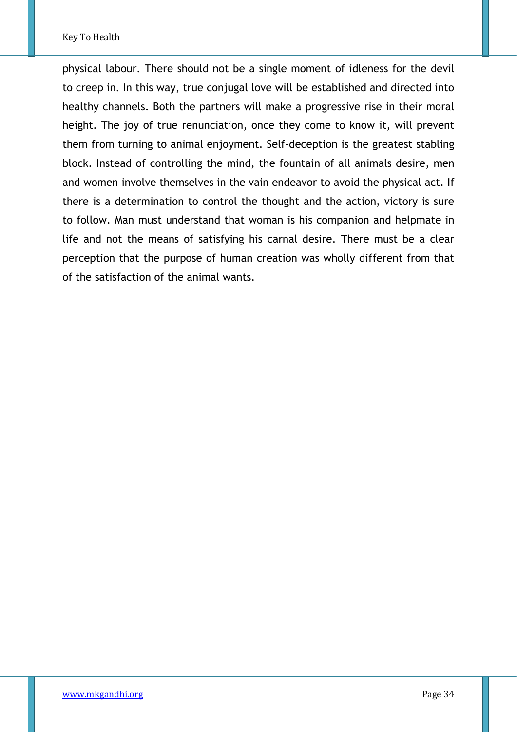physical labour. There should not be a single moment of idleness for the devil to creep in. In this way, true conjugal love will be established and directed into healthy channels. Both the partners will make a progressive rise in their moral height. The joy of true renunciation, once they come to know it, will prevent them from turning to animal enjoyment. Self-deception is the greatest stabling block. Instead of controlling the mind, the fountain of all animals desire, men and women involve themselves in the vain endeavor to avoid the physical act. If there is a determination to control the thought and the action, victory is sure to follow. Man must understand that woman is his companion and helpmate in life and not the means of satisfying his carnal desire. There must be a clear perception that the purpose of human creation was wholly different from that of the satisfaction of the animal wants.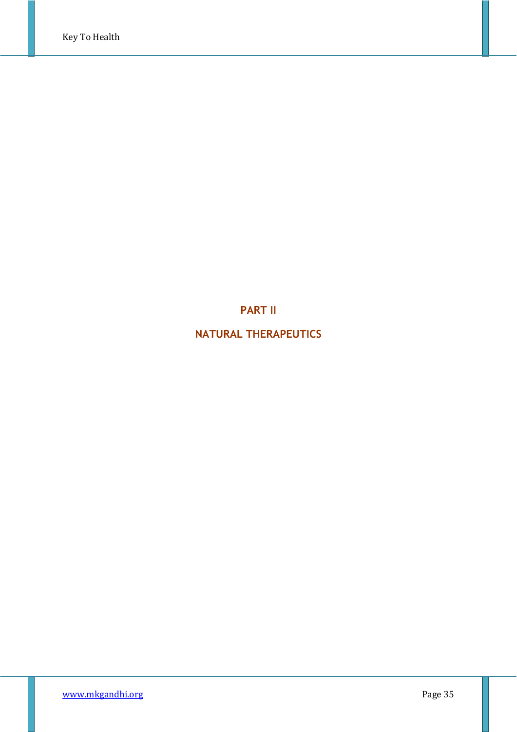# **PART II**

# **NATURAL THERAPEUTICS**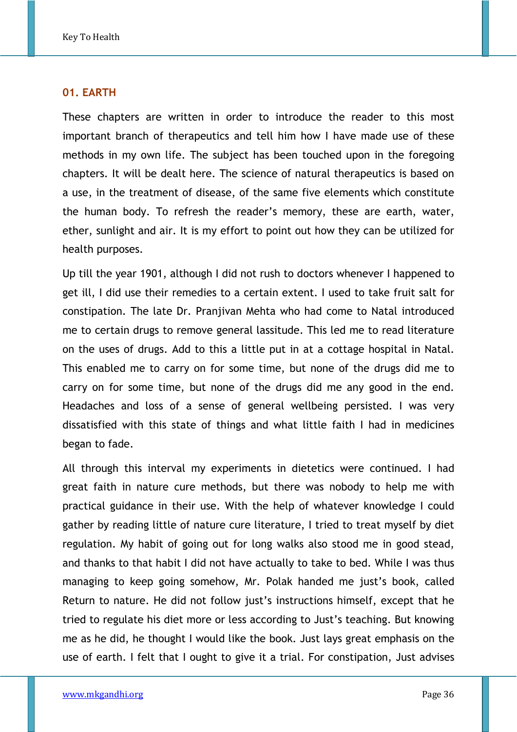## **01. EARTH**

These chapters are written in order to introduce the reader to this most important branch of therapeutics and tell him how I have made use of these methods in my own life. The subject has been touched upon in the foregoing chapters. It will be dealt here. The science of natural therapeutics is based on a use, in the treatment of disease, of the same five elements which constitute the human body. To refresh the reader's memory, these are earth, water, ether, sunlight and air. It is my effort to point out how they can be utilized for health purposes.

Up till the year 1901, although I did not rush to doctors whenever I happened to get ill, I did use their remedies to a certain extent. I used to take fruit salt for constipation. The late Dr. Pranjivan Mehta who had come to Natal introduced me to certain drugs to remove general lassitude. This led me to read literature on the uses of drugs. Add to this a little put in at a cottage hospital in Natal. This enabled me to carry on for some time, but none of the drugs did me to carry on for some time, but none of the drugs did me any good in the end. Headaches and loss of a sense of general wellbeing persisted. I was very dissatisfied with this state of things and what little faith I had in medicines began to fade.

All through this interval my experiments in dietetics were continued. I had great faith in nature cure methods, but there was nobody to help me with practical guidance in their use. With the help of whatever knowledge I could gather by reading little of nature cure literature, I tried to treat myself by diet regulation. My habit of going out for long walks also stood me in good stead, and thanks to that habit I did not have actually to take to bed. While I was thus managing to keep going somehow, Mr. Polak handed me just's book, called Return to nature. He did not follow just's instructions himself, except that he tried to regulate his diet more or less according to Just's teaching. But knowing me as he did, he thought I would like the book. Just lays great emphasis on the use of earth. I felt that I ought to give it a trial. For constipation, Just advises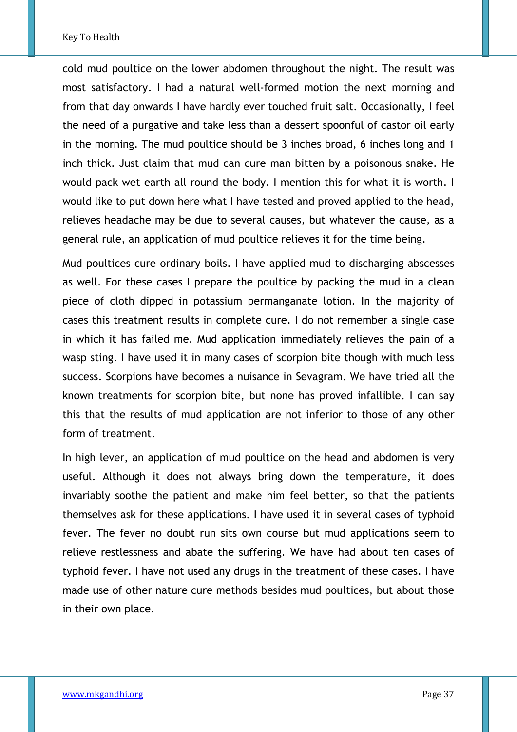cold mud poultice on the lower abdomen throughout the night. The result was most satisfactory. I had a natural well-formed motion the next morning and from that day onwards I have hardly ever touched fruit salt. Occasionally, I feel the need of a purgative and take less than a dessert spoonful of castor oil early in the morning. The mud poultice should be 3 inches broad, 6 inches long and 1 inch thick. Just claim that mud can cure man bitten by a poisonous snake. He would pack wet earth all round the body. I mention this for what it is worth. I would like to put down here what I have tested and proved applied to the head, relieves headache may be due to several causes, but whatever the cause, as a general rule, an application of mud poultice relieves it for the time being.

Mud poultices cure ordinary boils. I have applied mud to discharging abscesses as well. For these cases I prepare the poultice by packing the mud in a clean piece of cloth dipped in potassium permanganate lotion. In the majority of cases this treatment results in complete cure. I do not remember a single case in which it has failed me. Mud application immediately relieves the pain of a wasp sting. I have used it in many cases of scorpion bite though with much less success. Scorpions have becomes a nuisance in Sevagram. We have tried all the known treatments for scorpion bite, but none has proved infallible. I can say this that the results of mud application are not inferior to those of any other form of treatment.

In high lever, an application of mud poultice on the head and abdomen is very useful. Although it does not always bring down the temperature, it does invariably soothe the patient and make him feel better, so that the patients themselves ask for these applications. I have used it in several cases of typhoid fever. The fever no doubt run sits own course but mud applications seem to relieve restlessness and abate the suffering. We have had about ten cases of typhoid fever. I have not used any drugs in the treatment of these cases. I have made use of other nature cure methods besides mud poultices, but about those in their own place.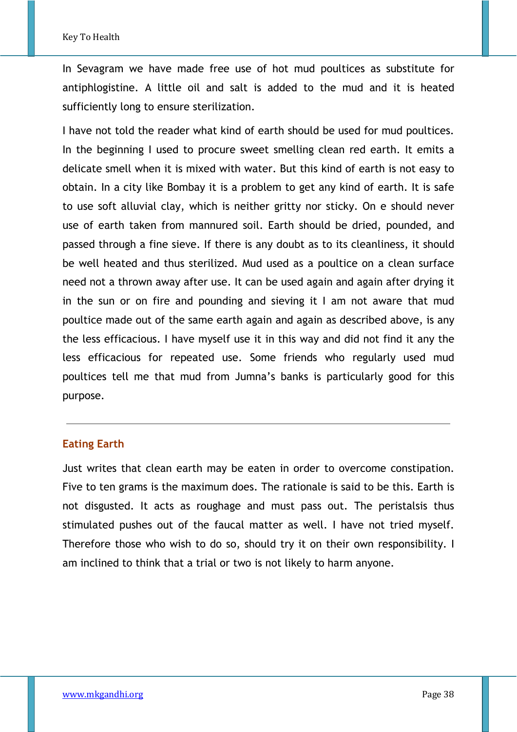In Sevagram we have made free use of hot mud poultices as substitute for antiphlogistine. A little oil and salt is added to the mud and it is heated sufficiently long to ensure sterilization.

I have not told the reader what kind of earth should be used for mud poultices. In the beginning I used to procure sweet smelling clean red earth. It emits a delicate smell when it is mixed with water. But this kind of earth is not easy to obtain. In a city like Bombay it is a problem to get any kind of earth. It is safe to use soft alluvial clay, which is neither gritty nor sticky. On e should never use of earth taken from mannured soil. Earth should be dried, pounded, and passed through a fine sieve. If there is any doubt as to its cleanliness, it should be well heated and thus sterilized. Mud used as a poultice on a clean surface need not a thrown away after use. It can be used again and again after drying it in the sun or on fire and pounding and sieving it I am not aware that mud poultice made out of the same earth again and again as described above, is any the less efficacious. I have myself use it in this way and did not find it any the less efficacious for repeated use. Some friends who regularly used mud poultices tell me that mud from Jumna's banks is particularly good for this purpose.

## **Eating Earth**

Just writes that clean earth may be eaten in order to overcome constipation. Five to ten grams is the maximum does. The rationale is said to be this. Earth is not disgusted. It acts as roughage and must pass out. The peristalsis thus stimulated pushes out of the faucal matter as well. I have not tried myself. Therefore those who wish to do so, should try it on their own responsibility. I am inclined to think that a trial or two is not likely to harm anyone.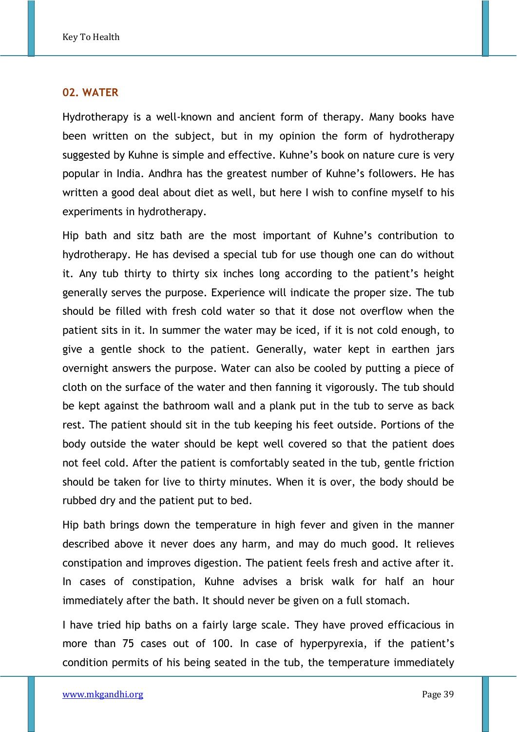#### **02. WATER**

Hydrotherapy is a well-known and ancient form of therapy. Many books have been written on the subject, but in my opinion the form of hydrotherapy suggested by Kuhne is simple and effective. Kuhne's book on nature cure is very popular in India. Andhra has the greatest number of Kuhne's followers. He has written a good deal about diet as well, but here I wish to confine myself to his experiments in hydrotherapy.

Hip bath and sitz bath are the most important of Kuhne's contribution to hydrotherapy. He has devised a special tub for use though one can do without it. Any tub thirty to thirty six inches long according to the patient's height generally serves the purpose. Experience will indicate the proper size. The tub should be filled with fresh cold water so that it dose not overflow when the patient sits in it. In summer the water may be iced, if it is not cold enough, to give a gentle shock to the patient. Generally, water kept in earthen jars overnight answers the purpose. Water can also be cooled by putting a piece of cloth on the surface of the water and then fanning it vigorously. The tub should be kept against the bathroom wall and a plank put in the tub to serve as back rest. The patient should sit in the tub keeping his feet outside. Portions of the body outside the water should be kept well covered so that the patient does not feel cold. After the patient is comfortably seated in the tub, gentle friction should be taken for live to thirty minutes. When it is over, the body should be rubbed dry and the patient put to bed.

Hip bath brings down the temperature in high fever and given in the manner described above it never does any harm, and may do much good. It relieves constipation and improves digestion. The patient feels fresh and active after it. In cases of constipation, Kuhne advises a brisk walk for half an hour immediately after the bath. It should never be given on a full stomach.

I have tried hip baths on a fairly large scale. They have proved efficacious in more than 75 cases out of 100. In case of hyperpyrexia, if the patient's condition permits of his being seated in the tub, the temperature immediately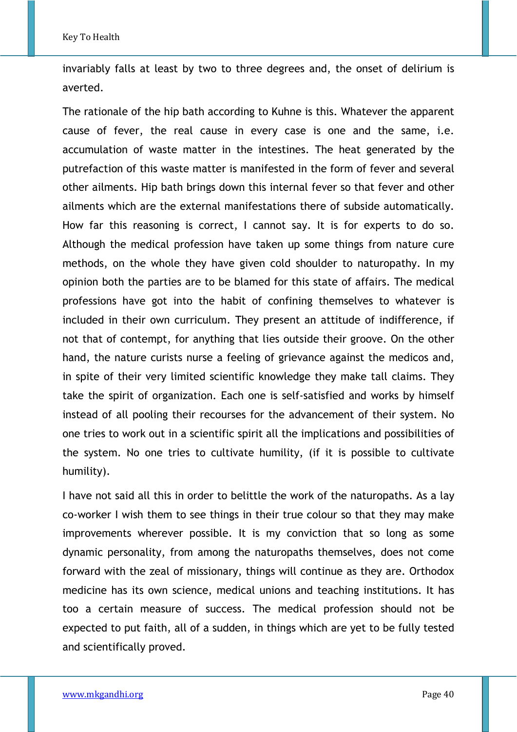invariably falls at least by two to three degrees and, the onset of delirium is averted.

The rationale of the hip bath according to Kuhne is this. Whatever the apparent cause of fever, the real cause in every case is one and the same, i.e. accumulation of waste matter in the intestines. The heat generated by the putrefaction of this waste matter is manifested in the form of fever and several other ailments. Hip bath brings down this internal fever so that fever and other ailments which are the external manifestations there of subside automatically. How far this reasoning is correct, I cannot say. It is for experts to do so. Although the medical profession have taken up some things from nature cure methods, on the whole they have given cold shoulder to naturopathy. In my opinion both the parties are to be blamed for this state of affairs. The medical professions have got into the habit of confining themselves to whatever is included in their own curriculum. They present an attitude of indifference, if not that of contempt, for anything that lies outside their groove. On the other hand, the nature curists nurse a feeling of grievance against the medicos and, in spite of their very limited scientific knowledge they make tall claims. They take the spirit of organization. Each one is self-satisfied and works by himself instead of all pooling their recourses for the advancement of their system. No one tries to work out in a scientific spirit all the implications and possibilities of the system. No one tries to cultivate humility, (if it is possible to cultivate humility).

I have not said all this in order to belittle the work of the naturopaths. As a lay co-worker I wish them to see things in their true colour so that they may make improvements wherever possible. It is my conviction that so long as some dynamic personality, from among the naturopaths themselves, does not come forward with the zeal of missionary, things will continue as they are. Orthodox medicine has its own science, medical unions and teaching institutions. It has too a certain measure of success. The medical profession should not be expected to put faith, all of a sudden, in things which are yet to be fully tested and scientifically proved.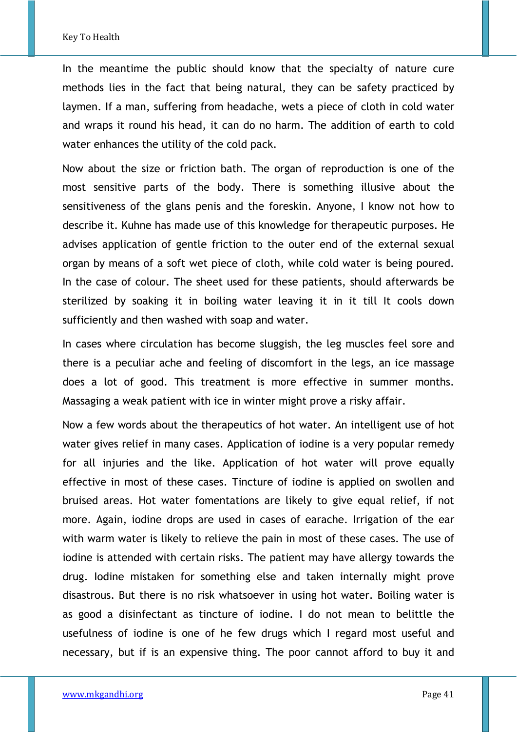In the meantime the public should know that the specialty of nature cure methods lies in the fact that being natural, they can be safety practiced by laymen. If a man, suffering from headache, wets a piece of cloth in cold water and wraps it round his head, it can do no harm. The addition of earth to cold water enhances the utility of the cold pack.

Now about the size or friction bath. The organ of reproduction is one of the most sensitive parts of the body. There is something illusive about the sensitiveness of the glans penis and the foreskin. Anyone, I know not how to describe it. Kuhne has made use of this knowledge for therapeutic purposes. He advises application of gentle friction to the outer end of the external sexual organ by means of a soft wet piece of cloth, while cold water is being poured. In the case of colour. The sheet used for these patients, should afterwards be sterilized by soaking it in boiling water leaving it in it till It cools down sufficiently and then washed with soap and water.

In cases where circulation has become sluggish, the leg muscles feel sore and there is a peculiar ache and feeling of discomfort in the legs, an ice massage does a lot of good. This treatment is more effective in summer months. Massaging a weak patient with ice in winter might prove a risky affair.

Now a few words about the therapeutics of hot water. An intelligent use of hot water gives relief in many cases. Application of iodine is a very popular remedy for all injuries and the like. Application of hot water will prove equally effective in most of these cases. Tincture of iodine is applied on swollen and bruised areas. Hot water fomentations are likely to give equal relief, if not more. Again, iodine drops are used in cases of earache. Irrigation of the ear with warm water is likely to relieve the pain in most of these cases. The use of iodine is attended with certain risks. The patient may have allergy towards the drug. Iodine mistaken for something else and taken internally might prove disastrous. But there is no risk whatsoever in using hot water. Boiling water is as good a disinfectant as tincture of iodine. I do not mean to belittle the usefulness of iodine is one of he few drugs which I regard most useful and necessary, but if is an expensive thing. The poor cannot afford to buy it and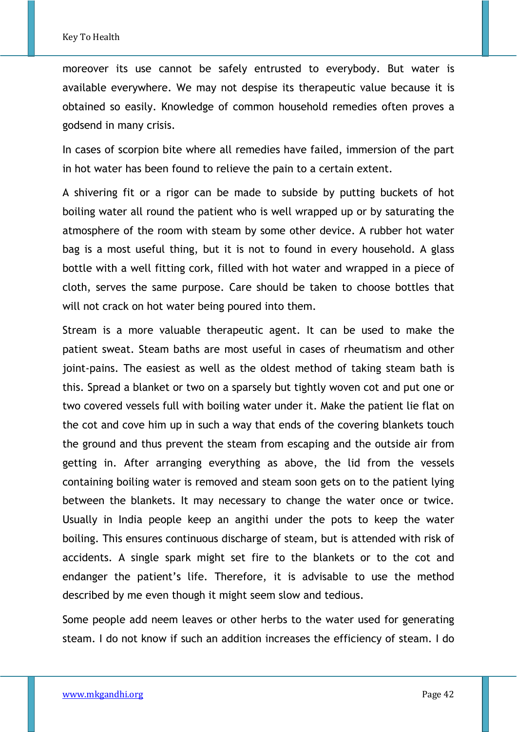moreover its use cannot be safely entrusted to everybody. But water is available everywhere. We may not despise its therapeutic value because it is obtained so easily. Knowledge of common household remedies often proves a godsend in many crisis.

In cases of scorpion bite where all remedies have failed, immersion of the part in hot water has been found to relieve the pain to a certain extent.

A shivering fit or a rigor can be made to subside by putting buckets of hot boiling water all round the patient who is well wrapped up or by saturating the atmosphere of the room with steam by some other device. A rubber hot water bag is a most useful thing, but it is not to found in every household. A glass bottle with a well fitting cork, filled with hot water and wrapped in a piece of cloth, serves the same purpose. Care should be taken to choose bottles that will not crack on hot water being poured into them.

Stream is a more valuable therapeutic agent. It can be used to make the patient sweat. Steam baths are most useful in cases of rheumatism and other joint-pains. The easiest as well as the oldest method of taking steam bath is this. Spread a blanket or two on a sparsely but tightly woven cot and put one or two covered vessels full with boiling water under it. Make the patient lie flat on the cot and cove him up in such a way that ends of the covering blankets touch the ground and thus prevent the steam from escaping and the outside air from getting in. After arranging everything as above, the lid from the vessels containing boiling water is removed and steam soon gets on to the patient lying between the blankets. It may necessary to change the water once or twice. Usually in India people keep an angithi under the pots to keep the water boiling. This ensures continuous discharge of steam, but is attended with risk of accidents. A single spark might set fire to the blankets or to the cot and endanger the patient's life. Therefore, it is advisable to use the method described by me even though it might seem slow and tedious.

Some people add neem leaves or other herbs to the water used for generating steam. I do not know if such an addition increases the efficiency of steam. I do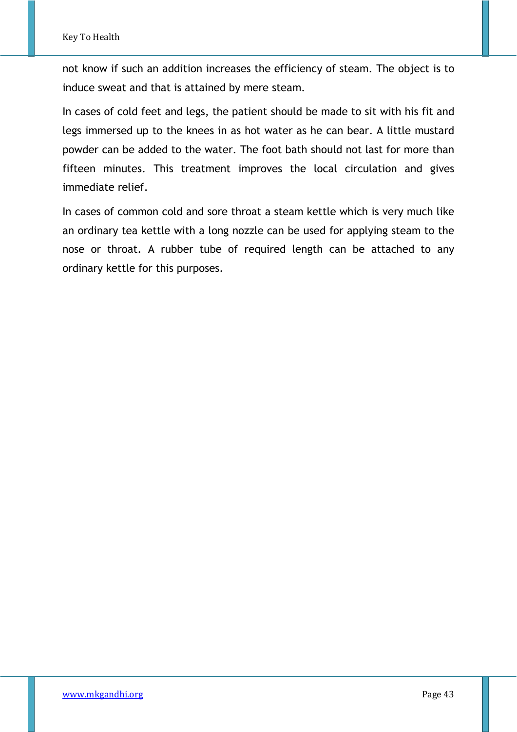not know if such an addition increases the efficiency of steam. The object is to induce sweat and that is attained by mere steam.

In cases of cold feet and legs, the patient should be made to sit with his fit and legs immersed up to the knees in as hot water as he can bear. A little mustard powder can be added to the water. The foot bath should not last for more than fifteen minutes. This treatment improves the local circulation and gives immediate relief.

In cases of common cold and sore throat a steam kettle which is very much like an ordinary tea kettle with a long nozzle can be used for applying steam to the nose or throat. A rubber tube of required length can be attached to any ordinary kettle for this purposes.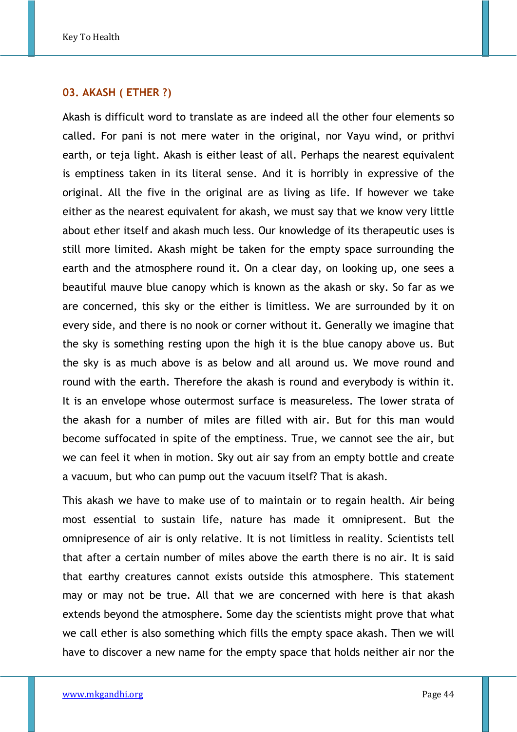## **03. AKASH ( ETHER ?)**

Akash is difficult word to translate as are indeed all the other four elements so called. For pani is not mere water in the original, nor Vayu wind, or prithvi earth, or teja light. Akash is either least of all. Perhaps the nearest equivalent is emptiness taken in its literal sense. And it is horribly in expressive of the original. All the five in the original are as living as life. If however we take either as the nearest equivalent for akash, we must say that we know very little about ether itself and akash much less. Our knowledge of its therapeutic uses is still more limited. Akash might be taken for the empty space surrounding the earth and the atmosphere round it. On a clear day, on looking up, one sees a beautiful mauve blue canopy which is known as the akash or sky. So far as we are concerned, this sky or the either is limitless. We are surrounded by it on every side, and there is no nook or corner without it. Generally we imagine that the sky is something resting upon the high it is the blue canopy above us. But the sky is as much above is as below and all around us. We move round and round with the earth. Therefore the akash is round and everybody is within it. It is an envelope whose outermost surface is measureless. The lower strata of the akash for a number of miles are filled with air. But for this man would become suffocated in spite of the emptiness. True, we cannot see the air, but we can feel it when in motion. Sky out air say from an empty bottle and create a vacuum, but who can pump out the vacuum itself? That is akash.

This akash we have to make use of to maintain or to regain health. Air being most essential to sustain life, nature has made it omnipresent. But the omnipresence of air is only relative. It is not limitless in reality. Scientists tell that after a certain number of miles above the earth there is no air. It is said that earthy creatures cannot exists outside this atmosphere. This statement may or may not be true. All that we are concerned with here is that akash extends beyond the atmosphere. Some day the scientists might prove that what we call ether is also something which fills the empty space akash. Then we will have to discover a new name for the empty space that holds neither air nor the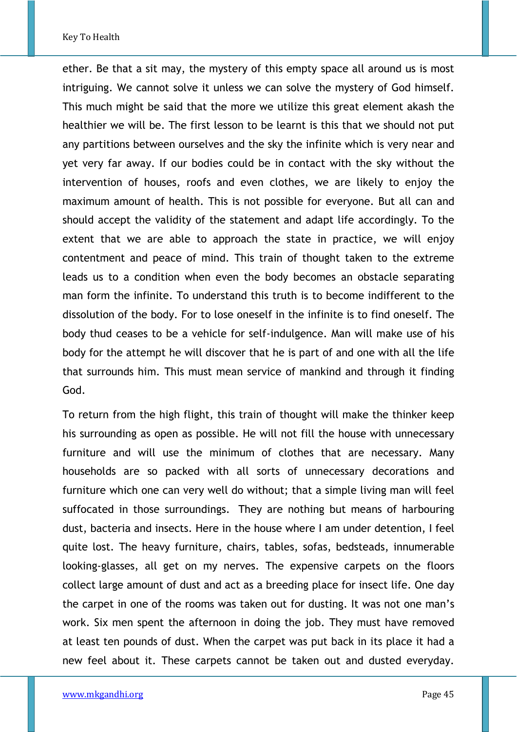ether. Be that a sit may, the mystery of this empty space all around us is most intriguing. We cannot solve it unless we can solve the mystery of God himself. This much might be said that the more we utilize this great element akash the healthier we will be. The first lesson to be learnt is this that we should not put any partitions between ourselves and the sky the infinite which is very near and yet very far away. If our bodies could be in contact with the sky without the intervention of houses, roofs and even clothes, we are likely to enjoy the maximum amount of health. This is not possible for everyone. But all can and should accept the validity of the statement and adapt life accordingly. To the extent that we are able to approach the state in practice, we will enjoy contentment and peace of mind. This train of thought taken to the extreme leads us to a condition when even the body becomes an obstacle separating man form the infinite. To understand this truth is to become indifferent to the dissolution of the body. For to lose oneself in the infinite is to find oneself. The body thud ceases to be a vehicle for self-indulgence. Man will make use of his body for the attempt he will discover that he is part of and one with all the life that surrounds him. This must mean service of mankind and through it finding God.

To return from the high flight, this train of thought will make the thinker keep his surrounding as open as possible. He will not fill the house with unnecessary furniture and will use the minimum of clothes that are necessary. Many households are so packed with all sorts of unnecessary decorations and furniture which one can very well do without; that a simple living man will feel suffocated in those surroundings. They are nothing but means of harbouring dust, bacteria and insects. Here in the house where I am under detention, I feel quite lost. The heavy furniture, chairs, tables, sofas, bedsteads, innumerable looking-glasses, all get on my nerves. The expensive carpets on the floors collect large amount of dust and act as a breeding place for insect life. One day the carpet in one of the rooms was taken out for dusting. It was not one man's work. Six men spent the afternoon in doing the job. They must have removed at least ten pounds of dust. When the carpet was put back in its place it had a new feel about it. These carpets cannot be taken out and dusted everyday.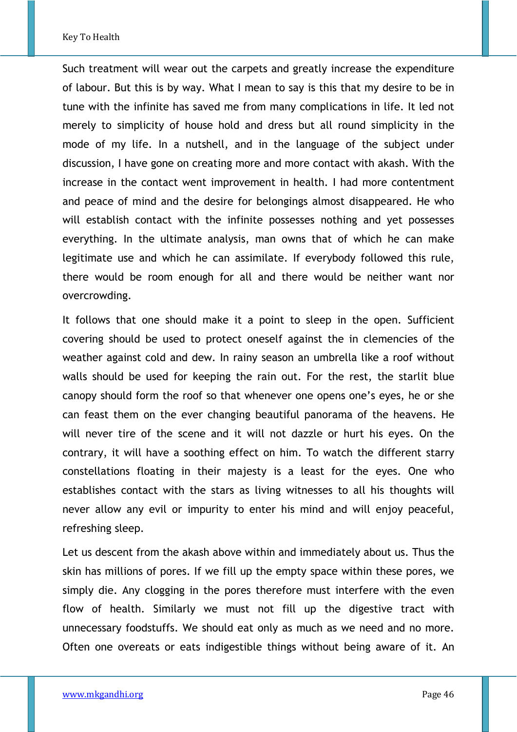Such treatment will wear out the carpets and greatly increase the expenditure of labour. But this is by way. What I mean to say is this that my desire to be in tune with the infinite has saved me from many complications in life. It led not merely to simplicity of house hold and dress but all round simplicity in the mode of my life. In a nutshell, and in the language of the subject under discussion, I have gone on creating more and more contact with akash. With the increase in the contact went improvement in health. I had more contentment and peace of mind and the desire for belongings almost disappeared. He who will establish contact with the infinite possesses nothing and yet possesses everything. In the ultimate analysis, man owns that of which he can make legitimate use and which he can assimilate. If everybody followed this rule, there would be room enough for all and there would be neither want nor overcrowding.

It follows that one should make it a point to sleep in the open. Sufficient covering should be used to protect oneself against the in clemencies of the weather against cold and dew. In rainy season an umbrella like a roof without walls should be used for keeping the rain out. For the rest, the starlit blue canopy should form the roof so that whenever one opens one's eyes, he or she can feast them on the ever changing beautiful panorama of the heavens. He will never tire of the scene and it will not dazzle or hurt his eyes. On the contrary, it will have a soothing effect on him. To watch the different starry constellations floating in their majesty is a least for the eyes. One who establishes contact with the stars as living witnesses to all his thoughts will never allow any evil or impurity to enter his mind and will enjoy peaceful, refreshing sleep.

Let us descent from the akash above within and immediately about us. Thus the skin has millions of pores. If we fill up the empty space within these pores, we simply die. Any clogging in the pores therefore must interfere with the even flow of health. Similarly we must not fill up the digestive tract with unnecessary foodstuffs. We should eat only as much as we need and no more. Often one overeats or eats indigestible things without being aware of it. An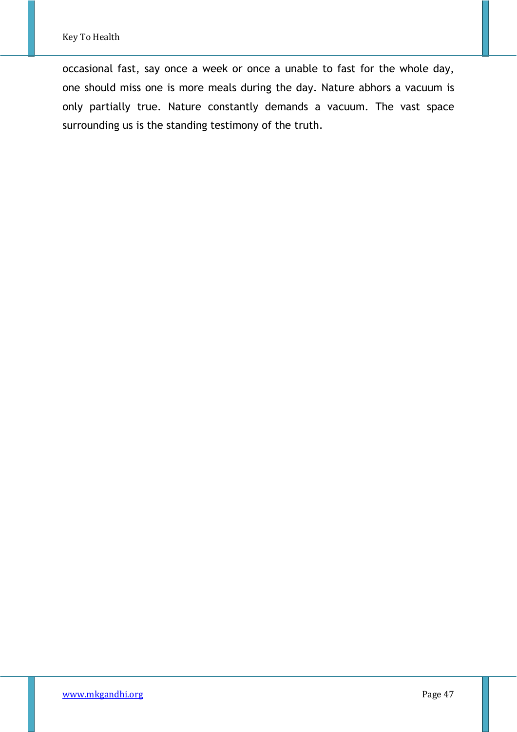occasional fast, say once a week or once a unable to fast for the whole day, one should miss one is more meals during the day. Nature abhors a vacuum is only partially true. Nature constantly demands a vacuum. The vast space surrounding us is the standing testimony of the truth.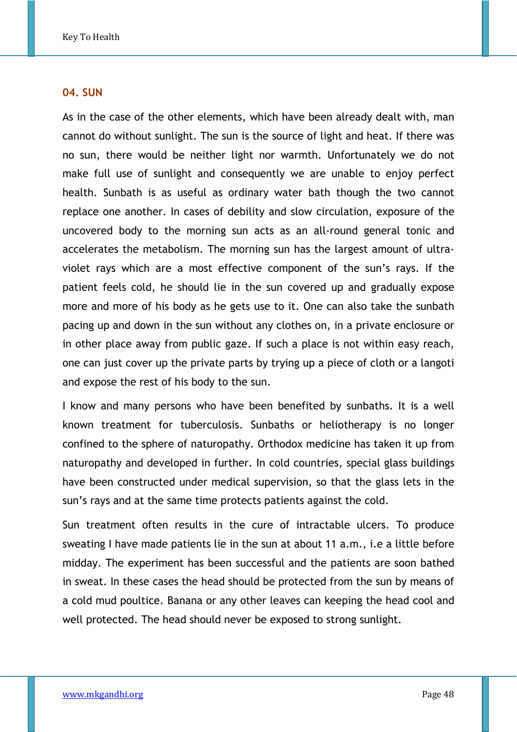## **04. SUN**

As in the case of the other elements, which have been already dealt with, man cannot do without sunlight. The sun is the source of light and heat. If there was no sun, there would be neither light nor warmth. Unfortunately we do not make full use of sunlight and consequently we are unable to enjoy perfect health. Sunbath is as useful as ordinary water bath though the two cannot replace one another. In cases of debility and slow circulation, exposure of the uncovered body to the morning sun acts as an all-round general tonic and accelerates the metabolism. The morning sun has the largest amount of ultraviolet rays which are a most effective component of the sun's rays. If the patient feels cold, he should lie in the sun covered up and gradually expose more and more of his body as he gets use to it. One can also take the sunbath pacing up and down in the sun without any clothes on, in a private enclosure or in other place away from public gaze. If such a place is not within easy reach, one can just cover up the private parts by trying up a piece of cloth or a langoti and expose the rest of his body to the sun.

I know and many persons who have been benefited by sunbaths. It is a well known treatment for tuberculosis. Sunbaths or heliotherapy is no longer confined to the sphere of naturopathy. Orthodox medicine has taken it up from naturopathy and developed in further. In cold countries, special glass buildings have been constructed under medical supervision, so that the glass lets in the sun's rays and at the same time protects patients against the cold.

Sun treatment often results in the cure of intractable ulcers. To produce sweating I have made patients lie in the sun at about 11 a.m., i.e a little before midday. The experiment has been successful and the patients are soon bathed in sweat. In these cases the head should be protected from the sun by means of a cold mud poultice. Banana or any other leaves can keeping the head cool and well protected. The head should never be exposed to strong sunlight.